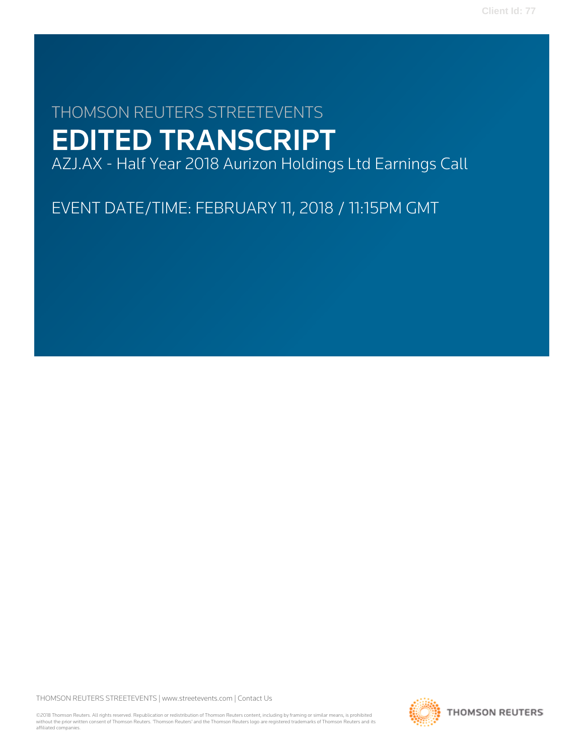# THOMSON REUTERS STREETEVENTS EDITED TRANSCRIPT

AZJ.AX - Half Year 2018 Aurizon Holdings Ltd Earnings Call

EVENT DATE/TIME: FEBRUARY 11, 2018 / 11:15PM GMT

THOMSON REUTERS STREETEVENTS | [www.streetevents.com](http://www.streetevents.com) | [Contact Us](http://www010.streetevents.com/contact.asp)

©2018 Thomson Reuters. All rights reserved. Republication or redistribution of Thomson Reuters content, including by framing or similar means, is prohibited without the prior written consent of Thomson Reuters. 'Thomson Reuters' and the Thomson Reuters logo are registered trademarks of Thomson Reuters and its affiliated companies.

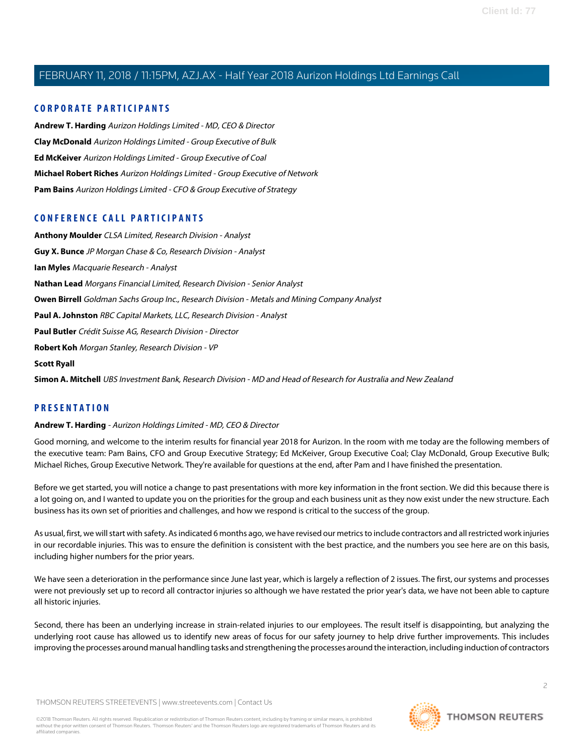## **CORPORATE PARTICIPANTS**

**[Andrew T. Harding](#page-1-0)** Aurizon Holdings Limited - MD, CEO & Director **[Clay McDonald](#page-18-0)** Aurizon Holdings Limited - Group Executive of Bulk **[Ed McKeiver](#page-10-0)** Aurizon Holdings Limited - Group Executive of Coal **[Michael Robert Riches](#page-9-0)** Aurizon Holdings Limited - Group Executive of Network **[Pam Bains](#page-5-0)** Aurizon Holdings Limited - CFO & Group Executive of Strategy

# **CONFERENCE CALL PARTICIPANTS**

**[Anthony Moulder](#page-10-1)** CLSA Limited, Research Division - Analyst **[Guy X. Bunce](#page-21-0)** JP Morgan Chase & Co, Research Division - Analyst **[Ian Myles](#page-12-0)** Macquarie Research - Analyst **[Nathan Lead](#page-24-0)** Morgans Financial Limited, Research Division - Senior Analyst **[Owen Birrell](#page-22-0)** Goldman Sachs Group Inc., Research Division - Metals and Mining Company Analyst **[Paul A. Johnston](#page-13-0)** RBC Capital Markets, LLC, Research Division - Analyst **[Paul Butler](#page-15-0)** Crédit Suisse AG, Research Division - Director **[Robert Koh](#page-14-0)** Morgan Stanley, Research Division - VP **[Scott Ryall](#page-17-0) [Simon A. Mitchell](#page-9-1)** UBS Investment Bank, Research Division - MD and Head of Research for Australia and New Zealand

# <span id="page-1-0"></span>**PRESENTATION**

#### **Andrew T. Harding** - Aurizon Holdings Limited - MD, CEO & Director

Good morning, and welcome to the interim results for financial year 2018 for Aurizon. In the room with me today are the following members of the executive team: Pam Bains, CFO and Group Executive Strategy; Ed McKeiver, Group Executive Coal; Clay McDonald, Group Executive Bulk; Michael Riches, Group Executive Network. They're available for questions at the end, after Pam and I have finished the presentation.

Before we get started, you will notice a change to past presentations with more key information in the front section. We did this because there is a lot going on, and I wanted to update you on the priorities for the group and each business unit as they now exist under the new structure. Each business has its own set of priorities and challenges, and how we respond is critical to the success of the group.

As usual, first, we will start with safety. As indicated 6 months ago, we have revised our metrics to include contractors and all restricted work injuries in our recordable injuries. This was to ensure the definition is consistent with the best practice, and the numbers you see here are on this basis, including higher numbers for the prior years.

We have seen a deterioration in the performance since June last year, which is largely a reflection of 2 issues. The first, our systems and processes were not previously set up to record all contractor injuries so although we have restated the prior year's data, we have not been able to capture all historic injuries.

Second, there has been an underlying increase in strain-related injuries to our employees. The result itself is disappointing, but analyzing the underlying root cause has allowed us to identify new areas of focus for our safety journey to help drive further improvements. This includes improving the processes around manual handling tasks and strengthening the processes around the interaction, including induction of contractors

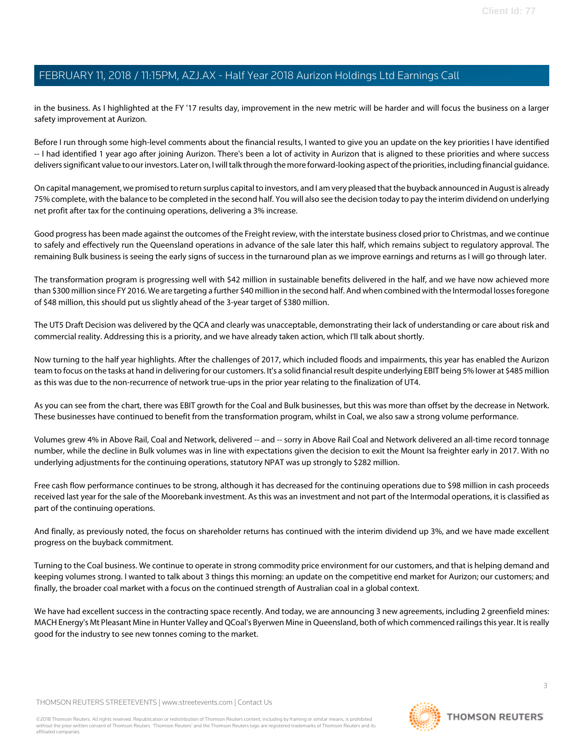in the business. As I highlighted at the FY '17 results day, improvement in the new metric will be harder and will focus the business on a larger safety improvement at Aurizon.

Before I run through some high-level comments about the financial results, I wanted to give you an update on the key priorities I have identified -- I had identified 1 year ago after joining Aurizon. There's been a lot of activity in Aurizon that is aligned to these priorities and where success delivers significant value to our investors. Later on, I will talk through the more forward-looking aspect of the priorities, including financial guidance.

On capital management, we promised to return surplus capital to investors, and I am very pleased that the buyback announced in August is already 75% complete, with the balance to be completed in the second half. You will also see the decision today to pay the interim dividend on underlying net profit after tax for the continuing operations, delivering a 3% increase.

Good progress has been made against the outcomes of the Freight review, with the interstate business closed prior to Christmas, and we continue to safely and effectively run the Queensland operations in advance of the sale later this half, which remains subject to regulatory approval. The remaining Bulk business is seeing the early signs of success in the turnaround plan as we improve earnings and returns as I will go through later.

The transformation program is progressing well with \$42 million in sustainable benefits delivered in the half, and we have now achieved more than \$300 million since FY 2016. We are targeting a further \$40 million in the second half. And when combined with the Intermodal losses foregone of \$48 million, this should put us slightly ahead of the 3-year target of \$380 million.

The UT5 Draft Decision was delivered by the QCA and clearly was unacceptable, demonstrating their lack of understanding or care about risk and commercial reality. Addressing this is a priority, and we have already taken action, which I'll talk about shortly.

Now turning to the half year highlights. After the challenges of 2017, which included floods and impairments, this year has enabled the Aurizon team to focus on the tasks at hand in delivering for our customers. It's a solid financial result despite underlying EBIT being 5% lower at \$485 million as this was due to the non-recurrence of network true-ups in the prior year relating to the finalization of UT4.

As you can see from the chart, there was EBIT growth for the Coal and Bulk businesses, but this was more than offset by the decrease in Network. These businesses have continued to benefit from the transformation program, whilst in Coal, we also saw a strong volume performance.

Volumes grew 4% in Above Rail, Coal and Network, delivered -- and -- sorry in Above Rail Coal and Network delivered an all-time record tonnage number, while the decline in Bulk volumes was in line with expectations given the decision to exit the Mount Isa freighter early in 2017. With no underlying adjustments for the continuing operations, statutory NPAT was up strongly to \$282 million.

Free cash flow performance continues to be strong, although it has decreased for the continuing operations due to \$98 million in cash proceeds received last year for the sale of the Moorebank investment. As this was an investment and not part of the Intermodal operations, it is classified as part of the continuing operations.

And finally, as previously noted, the focus on shareholder returns has continued with the interim dividend up 3%, and we have made excellent progress on the buyback commitment.

Turning to the Coal business. We continue to operate in strong commodity price environment for our customers, and that is helping demand and keeping volumes strong. I wanted to talk about 3 things this morning: an update on the competitive end market for Aurizon; our customers; and finally, the broader coal market with a focus on the continued strength of Australian coal in a global context.

We have had excellent success in the contracting space recently. And today, we are announcing 3 new agreements, including 2 greenfield mines: MACH Energy's Mt Pleasant Mine in Hunter Valley and QCoal's Byerwen Mine in Queensland, both of which commenced railings this year. It is really good for the industry to see new tonnes coming to the market.

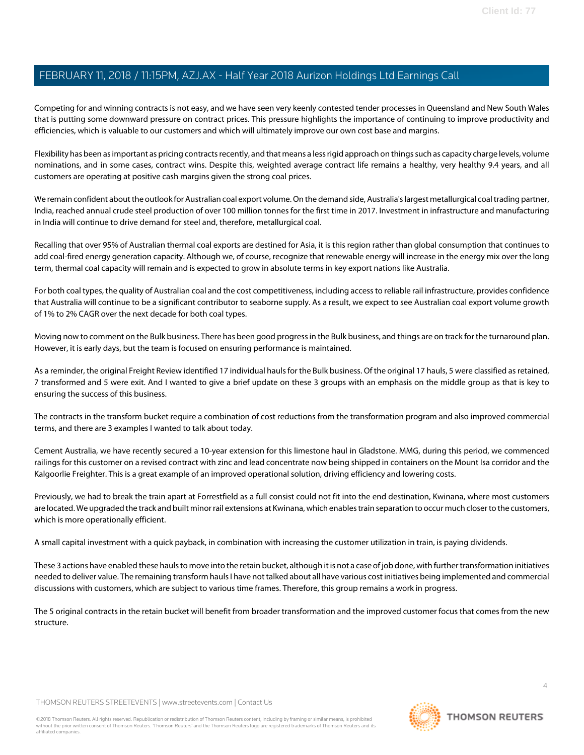Competing for and winning contracts is not easy, and we have seen very keenly contested tender processes in Queensland and New South Wales that is putting some downward pressure on contract prices. This pressure highlights the importance of continuing to improve productivity and efficiencies, which is valuable to our customers and which will ultimately improve our own cost base and margins.

Flexibility has been as important as pricing contracts recently, and that means a less rigid approach on things such as capacity charge levels, volume nominations, and in some cases, contract wins. Despite this, weighted average contract life remains a healthy, very healthy 9.4 years, and all customers are operating at positive cash margins given the strong coal prices.

We remain confident about the outlook for Australian coal export volume. On the demand side, Australia's largest metallurgical coal trading partner, India, reached annual crude steel production of over 100 million tonnes for the first time in 2017. Investment in infrastructure and manufacturing in India will continue to drive demand for steel and, therefore, metallurgical coal.

Recalling that over 95% of Australian thermal coal exports are destined for Asia, it is this region rather than global consumption that continues to add coal-fired energy generation capacity. Although we, of course, recognize that renewable energy will increase in the energy mix over the long term, thermal coal capacity will remain and is expected to grow in absolute terms in key export nations like Australia.

For both coal types, the quality of Australian coal and the cost competitiveness, including access to reliable rail infrastructure, provides confidence that Australia will continue to be a significant contributor to seaborne supply. As a result, we expect to see Australian coal export volume growth of 1% to 2% CAGR over the next decade for both coal types.

Moving now to comment on the Bulk business. There has been good progress in the Bulk business, and things are on track for the turnaround plan. However, it is early days, but the team is focused on ensuring performance is maintained.

As a reminder, the original Freight Review identified 17 individual hauls for the Bulk business. Of the original 17 hauls, 5 were classified as retained, 7 transformed and 5 were exit. And I wanted to give a brief update on these 3 groups with an emphasis on the middle group as that is key to ensuring the success of this business.

The contracts in the transform bucket require a combination of cost reductions from the transformation program and also improved commercial terms, and there are 3 examples I wanted to talk about today.

Cement Australia, we have recently secured a 10-year extension for this limestone haul in Gladstone. MMG, during this period, we commenced railings for this customer on a revised contract with zinc and lead concentrate now being shipped in containers on the Mount Isa corridor and the Kalgoorlie Freighter. This is a great example of an improved operational solution, driving efficiency and lowering costs.

Previously, we had to break the train apart at Forrestfield as a full consist could not fit into the end destination, Kwinana, where most customers are located. We upgraded the track and built minor rail extensions at Kwinana, which enables train separation to occur much closer to the customers, which is more operationally efficient.

A small capital investment with a quick payback, in combination with increasing the customer utilization in train, is paying dividends.

These 3 actions have enabled these hauls to move into the retain bucket, although it is not a case of job done, with further transformation initiatives needed to deliver value. The remaining transform hauls I have not talked about all have various cost initiatives being implemented and commercial discussions with customers, which are subject to various time frames. Therefore, this group remains a work in progress.

The 5 original contracts in the retain bucket will benefit from broader transformation and the improved customer focus that comes from the new structure.

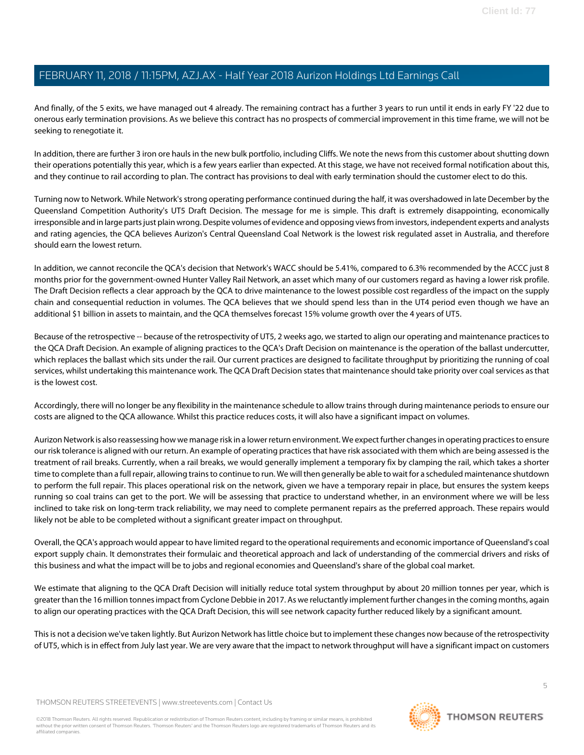And finally, of the 5 exits, we have managed out 4 already. The remaining contract has a further 3 years to run until it ends in early FY '22 due to onerous early termination provisions. As we believe this contract has no prospects of commercial improvement in this time frame, we will not be seeking to renegotiate it.

In addition, there are further 3 iron ore hauls in the new bulk portfolio, including Cliffs. We note the news from this customer about shutting down their operations potentially this year, which is a few years earlier than expected. At this stage, we have not received formal notification about this, and they continue to rail according to plan. The contract has provisions to deal with early termination should the customer elect to do this.

Turning now to Network. While Network's strong operating performance continued during the half, it was overshadowed in late December by the Queensland Competition Authority's UT5 Draft Decision. The message for me is simple. This draft is extremely disappointing, economically irresponsible and in large parts just plain wrong. Despite volumes of evidence and opposing views from investors, independent experts and analysts and rating agencies, the QCA believes Aurizon's Central Queensland Coal Network is the lowest risk regulated asset in Australia, and therefore should earn the lowest return.

In addition, we cannot reconcile the QCA's decision that Network's WACC should be 5.41%, compared to 6.3% recommended by the ACCC just 8 months prior for the government-owned Hunter Valley Rail Network, an asset which many of our customers regard as having a lower risk profile. The Draft Decision reflects a clear approach by the QCA to drive maintenance to the lowest possible cost regardless of the impact on the supply chain and consequential reduction in volumes. The QCA believes that we should spend less than in the UT4 period even though we have an additional \$1 billion in assets to maintain, and the QCA themselves forecast 15% volume growth over the 4 years of UT5.

Because of the retrospective -- because of the retrospectivity of UT5, 2 weeks ago, we started to align our operating and maintenance practices to the QCA Draft Decision. An example of aligning practices to the QCA's Draft Decision on maintenance is the operation of the ballast undercutter, which replaces the ballast which sits under the rail. Our current practices are designed to facilitate throughput by prioritizing the running of coal services, whilst undertaking this maintenance work. The QCA Draft Decision states that maintenance should take priority over coal services as that is the lowest cost.

Accordingly, there will no longer be any flexibility in the maintenance schedule to allow trains through during maintenance periods to ensure our costs are aligned to the QCA allowance. Whilst this practice reduces costs, it will also have a significant impact on volumes.

Aurizon Network is also reassessing how we manage risk in a lower return environment. We expect further changes in operating practices to ensure our risk tolerance is aligned with our return. An example of operating practices that have risk associated with them which are being assessed is the treatment of rail breaks. Currently, when a rail breaks, we would generally implement a temporary fix by clamping the rail, which takes a shorter time to complete than a full repair, allowing trains to continue to run. We will then generally be able to wait for a scheduled maintenance shutdown to perform the full repair. This places operational risk on the network, given we have a temporary repair in place, but ensures the system keeps running so coal trains can get to the port. We will be assessing that practice to understand whether, in an environment where we will be less inclined to take risk on long-term track reliability, we may need to complete permanent repairs as the preferred approach. These repairs would likely not be able to be completed without a significant greater impact on throughput.

Overall, the QCA's approach would appear to have limited regard to the operational requirements and economic importance of Queensland's coal export supply chain. It demonstrates their formulaic and theoretical approach and lack of understanding of the commercial drivers and risks of this business and what the impact will be to jobs and regional economies and Queensland's share of the global coal market.

We estimate that aligning to the QCA Draft Decision will initially reduce total system throughput by about 20 million tonnes per year, which is greater than the 16 million tonnes impact from Cyclone Debbie in 2017. As we reluctantly implement further changes in the coming months, again to align our operating practices with the QCA Draft Decision, this will see network capacity further reduced likely by a significant amount.

This is not a decision we've taken lightly. But Aurizon Network has little choice but to implement these changes now because of the retrospectivity of UT5, which is in effect from July last year. We are very aware that the impact to network throughput will have a significant impact on customers

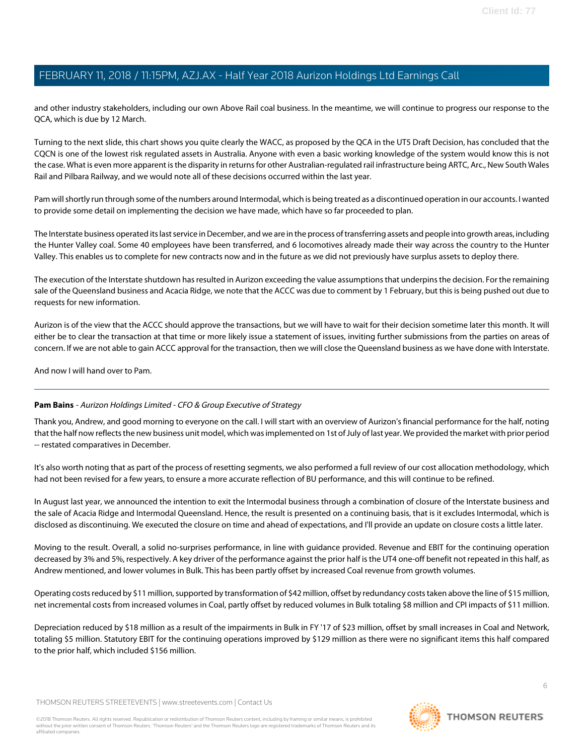and other industry stakeholders, including our own Above Rail coal business. In the meantime, we will continue to progress our response to the QCA, which is due by 12 March.

Turning to the next slide, this chart shows you quite clearly the WACC, as proposed by the QCA in the UT5 Draft Decision, has concluded that the CQCN is one of the lowest risk regulated assets in Australia. Anyone with even a basic working knowledge of the system would know this is not the case. What is even more apparent is the disparity in returns for other Australian-regulated rail infrastructure being ARTC, Arc., New South Wales Rail and Pilbara Railway, and we would note all of these decisions occurred within the last year.

Pam will shortly run through some of the numbers around Intermodal, which is being treated as a discontinued operation in our accounts. I wanted to provide some detail on implementing the decision we have made, which have so far proceeded to plan.

The Interstate business operated its last service in December, and we are in the process of transferring assets and people into growth areas, including the Hunter Valley coal. Some 40 employees have been transferred, and 6 locomotives already made their way across the country to the Hunter Valley. This enables us to complete for new contracts now and in the future as we did not previously have surplus assets to deploy there.

The execution of the Interstate shutdown has resulted in Aurizon exceeding the value assumptions that underpins the decision. For the remaining sale of the Queensland business and Acacia Ridge, we note that the ACCC was due to comment by 1 February, but this is being pushed out due to requests for new information.

Aurizon is of the view that the ACCC should approve the transactions, but we will have to wait for their decision sometime later this month. It will either be to clear the transaction at that time or more likely issue a statement of issues, inviting further submissions from the parties on areas of concern. If we are not able to gain ACCC approval for the transaction, then we will close the Queensland business as we have done with Interstate.

<span id="page-5-0"></span>And now I will hand over to Pam.

# **Pam Bains** - Aurizon Holdings Limited - CFO & Group Executive of Strategy

Thank you, Andrew, and good morning to everyone on the call. I will start with an overview of Aurizon's financial performance for the half, noting that the half now reflects the new business unit model, which was implemented on 1st of July of last year. We provided the market with prior period -- restated comparatives in December.

It's also worth noting that as part of the process of resetting segments, we also performed a full review of our cost allocation methodology, which had not been revised for a few years, to ensure a more accurate reflection of BU performance, and this will continue to be refined.

In August last year, we announced the intention to exit the Intermodal business through a combination of closure of the Interstate business and the sale of Acacia Ridge and Intermodal Queensland. Hence, the result is presented on a continuing basis, that is it excludes Intermodal, which is disclosed as discontinuing. We executed the closure on time and ahead of expectations, and I'll provide an update on closure costs a little later.

Moving to the result. Overall, a solid no-surprises performance, in line with guidance provided. Revenue and EBIT for the continuing operation decreased by 3% and 5%, respectively. A key driver of the performance against the prior half is the UT4 one-off benefit not repeated in this half, as Andrew mentioned, and lower volumes in Bulk. This has been partly offset by increased Coal revenue from growth volumes.

Operating costs reduced by \$11 million, supported by transformation of \$42 million, offset by redundancy costs taken above the line of \$15 million, net incremental costs from increased volumes in Coal, partly offset by reduced volumes in Bulk totaling \$8 million and CPI impacts of \$11 million.

Depreciation reduced by \$18 million as a result of the impairments in Bulk in FY '17 of \$23 million, offset by small increases in Coal and Network, totaling \$5 million. Statutory EBIT for the continuing operations improved by \$129 million as there were no significant items this half compared to the prior half, which included \$156 million.

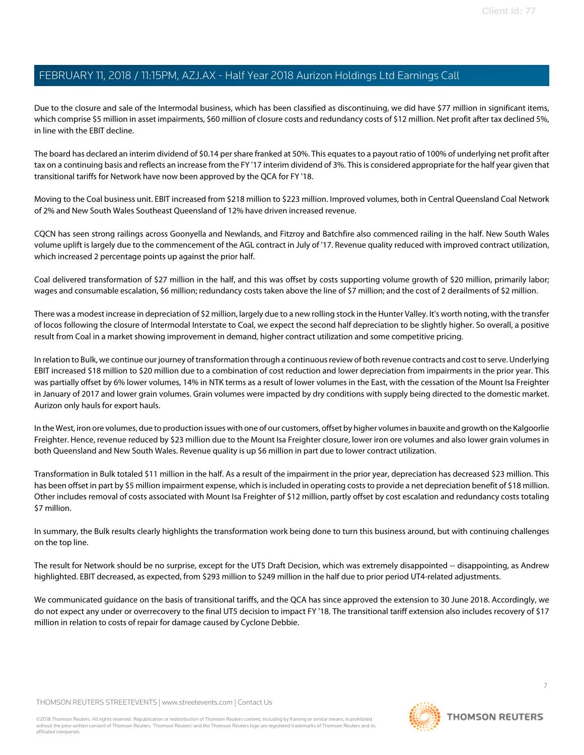Due to the closure and sale of the Intermodal business, which has been classified as discontinuing, we did have \$77 million in significant items, which comprise \$5 million in asset impairments, \$60 million of closure costs and redundancy costs of \$12 million. Net profit after tax declined 5%, in line with the EBIT decline.

The board has declared an interim dividend of \$0.14 per share franked at 50%. This equates to a payout ratio of 100% of underlying net profit after tax on a continuing basis and reflects an increase from the FY '17 interim dividend of 3%. This is considered appropriate for the half year given that transitional tariffs for Network have now been approved by the QCA for FY '18.

Moving to the Coal business unit. EBIT increased from \$218 million to \$223 million. Improved volumes, both in Central Queensland Coal Network of 2% and New South Wales Southeast Queensland of 12% have driven increased revenue.

CQCN has seen strong railings across Goonyella and Newlands, and Fitzroy and Batchfire also commenced railing in the half. New South Wales volume uplift is largely due to the commencement of the AGL contract in July of '17. Revenue quality reduced with improved contract utilization, which increased 2 percentage points up against the prior half.

Coal delivered transformation of \$27 million in the half, and this was offset by costs supporting volume growth of \$20 million, primarily labor; wages and consumable escalation, \$6 million; redundancy costs taken above the line of \$7 million; and the cost of 2 derailments of \$2 million.

There was a modest increase in depreciation of \$2 million, largely due to a new rolling stock in the Hunter Valley. It's worth noting, with the transfer of locos following the closure of Intermodal Interstate to Coal, we expect the second half depreciation to be slightly higher. So overall, a positive result from Coal in a market showing improvement in demand, higher contract utilization and some competitive pricing.

In relation to Bulk, we continue our journey of transformation through a continuous review of both revenue contracts and cost to serve. Underlying EBIT increased \$18 million to \$20 million due to a combination of cost reduction and lower depreciation from impairments in the prior year. This was partially offset by 6% lower volumes, 14% in NTK terms as a result of lower volumes in the East, with the cessation of the Mount Isa Freighter in January of 2017 and lower grain volumes. Grain volumes were impacted by dry conditions with supply being directed to the domestic market. Aurizon only hauls for export hauls.

In the West, iron ore volumes, due to production issues with one of our customers, offset by higher volumes in bauxite and growth on the Kalgoorlie Freighter. Hence, revenue reduced by \$23 million due to the Mount Isa Freighter closure, lower iron ore volumes and also lower grain volumes in both Queensland and New South Wales. Revenue quality is up \$6 million in part due to lower contract utilization.

Transformation in Bulk totaled \$11 million in the half. As a result of the impairment in the prior year, depreciation has decreased \$23 million. This has been offset in part by \$5 million impairment expense, which is included in operating costs to provide a net depreciation benefit of \$18 million. Other includes removal of costs associated with Mount Isa Freighter of \$12 million, partly offset by cost escalation and redundancy costs totaling \$7 million.

In summary, the Bulk results clearly highlights the transformation work being done to turn this business around, but with continuing challenges on the top line.

The result for Network should be no surprise, except for the UT5 Draft Decision, which was extremely disappointed -- disappointing, as Andrew highlighted. EBIT decreased, as expected, from \$293 million to \$249 million in the half due to prior period UT4-related adjustments.

We communicated guidance on the basis of transitional tariffs, and the QCA has since approved the extension to 30 June 2018. Accordingly, we do not expect any under or overrecovery to the final UT5 decision to impact FY '18. The transitional tariff extension also includes recovery of \$17 million in relation to costs of repair for damage caused by Cyclone Debbie.

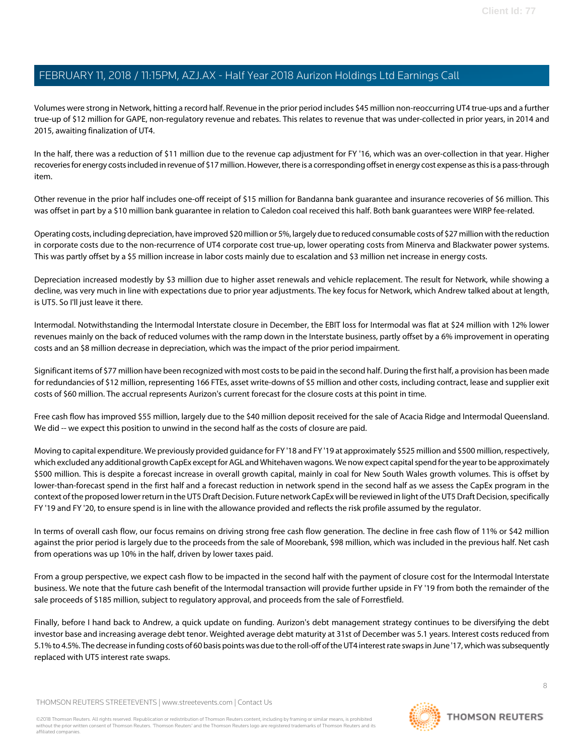Volumes were strong in Network, hitting a record half. Revenue in the prior period includes \$45 million non-reoccurring UT4 true-ups and a further true-up of \$12 million for GAPE, non-regulatory revenue and rebates. This relates to revenue that was under-collected in prior years, in 2014 and 2015, awaiting finalization of UT4.

In the half, there was a reduction of \$11 million due to the revenue cap adjustment for FY '16, which was an over-collection in that year. Higher recoveries for energy costs included in revenue of \$17 million. However, there is a corresponding offset in energy cost expense as this is a pass-through item.

Other revenue in the prior half includes one-off receipt of \$15 million for Bandanna bank guarantee and insurance recoveries of \$6 million. This was offset in part by a \$10 million bank guarantee in relation to Caledon coal received this half. Both bank guarantees were WIRP fee-related.

Operating costs, including depreciation, have improved \$20 million or 5%, largely due to reduced consumable costs of \$27 million with the reduction in corporate costs due to the non-recurrence of UT4 corporate cost true-up, lower operating costs from Minerva and Blackwater power systems. This was partly offset by a \$5 million increase in labor costs mainly due to escalation and \$3 million net increase in energy costs.

Depreciation increased modestly by \$3 million due to higher asset renewals and vehicle replacement. The result for Network, while showing a decline, was very much in line with expectations due to prior year adjustments. The key focus for Network, which Andrew talked about at length, is UT5. So I'll just leave it there.

Intermodal. Notwithstanding the Intermodal Interstate closure in December, the EBIT loss for Intermodal was flat at \$24 million with 12% lower revenues mainly on the back of reduced volumes with the ramp down in the Interstate business, partly offset by a 6% improvement in operating costs and an \$8 million decrease in depreciation, which was the impact of the prior period impairment.

Significant items of \$77 million have been recognized with most costs to be paid in the second half. During the first half, a provision has been made for redundancies of \$12 million, representing 166 FTEs, asset write-downs of \$5 million and other costs, including contract, lease and supplier exit costs of \$60 million. The accrual represents Aurizon's current forecast for the closure costs at this point in time.

Free cash flow has improved \$55 million, largely due to the \$40 million deposit received for the sale of Acacia Ridge and Intermodal Queensland. We did -- we expect this position to unwind in the second half as the costs of closure are paid.

Moving to capital expenditure. We previously provided guidance for FY '18 and FY '19 at approximately \$525 million and \$500 million, respectively, which excluded any additional growth CapEx except for AGL and Whitehaven wagons. We now expect capital spend for the year to be approximately \$500 million. This is despite a forecast increase in overall growth capital, mainly in coal for New South Wales growth volumes. This is offset by lower-than-forecast spend in the first half and a forecast reduction in network spend in the second half as we assess the CapEx program in the context of the proposed lower return in the UT5 Draft Decision. Future network CapEx will be reviewed in light of the UT5 Draft Decision, specifically FY '19 and FY '20, to ensure spend is in line with the allowance provided and reflects the risk profile assumed by the regulator.

In terms of overall cash flow, our focus remains on driving strong free cash flow generation. The decline in free cash flow of 11% or \$42 million against the prior period is largely due to the proceeds from the sale of Moorebank, \$98 million, which was included in the previous half. Net cash from operations was up 10% in the half, driven by lower taxes paid.

From a group perspective, we expect cash flow to be impacted in the second half with the payment of closure cost for the Intermodal Interstate business. We note that the future cash benefit of the Intermodal transaction will provide further upside in FY '19 from both the remainder of the sale proceeds of \$185 million, subject to regulatory approval, and proceeds from the sale of Forrestfield.

Finally, before I hand back to Andrew, a quick update on funding. Aurizon's debt management strategy continues to be diversifying the debt investor base and increasing average debt tenor. Weighted average debt maturity at 31st of December was 5.1 years. Interest costs reduced from 5.1% to 4.5%. The decrease in funding costs of 60 basis points was due to the roll-off of the UT4 interest rate swaps in June '17, which was subsequently replaced with UT5 interest rate swaps.

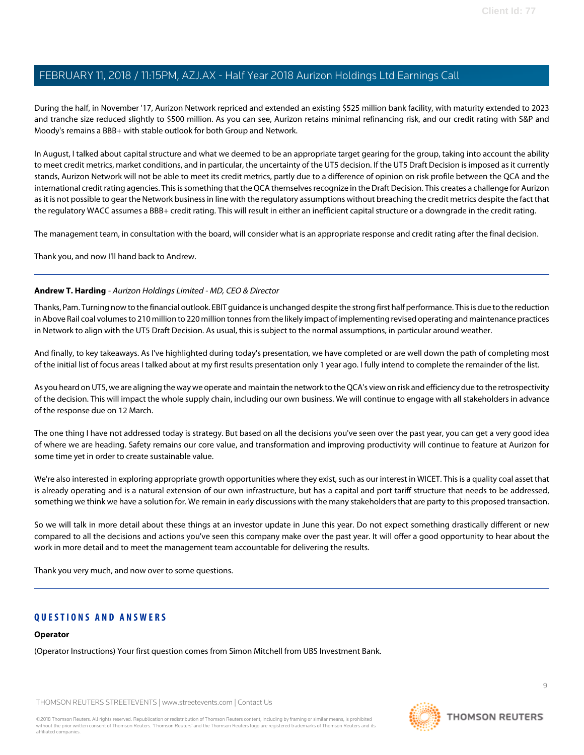During the half, in November '17, Aurizon Network repriced and extended an existing \$525 million bank facility, with maturity extended to 2023 and tranche size reduced slightly to \$500 million. As you can see, Aurizon retains minimal refinancing risk, and our credit rating with S&P and Moody's remains a BBB+ with stable outlook for both Group and Network.

In August, I talked about capital structure and what we deemed to be an appropriate target gearing for the group, taking into account the ability to meet credit metrics, market conditions, and in particular, the uncertainty of the UT5 decision. If the UT5 Draft Decision is imposed as it currently stands, Aurizon Network will not be able to meet its credit metrics, partly due to a difference of opinion on risk profile between the QCA and the international credit rating agencies. This is something that the QCA themselves recognize in the Draft Decision. This creates a challenge for Aurizon as it is not possible to gear the Network business in line with the regulatory assumptions without breaching the credit metrics despite the fact that the regulatory WACC assumes a BBB+ credit rating. This will result in either an inefficient capital structure or a downgrade in the credit rating.

The management team, in consultation with the board, will consider what is an appropriate response and credit rating after the final decision.

Thank you, and now I'll hand back to Andrew.

## **Andrew T. Harding** - Aurizon Holdings Limited - MD, CEO & Director

Thanks, Pam. Turning now to the financial outlook. EBIT guidance is unchanged despite the strong first half performance. This is due to the reduction in Above Rail coal volumes to 210 million to 220 million tonnes from the likely impact of implementing revised operating and maintenance practices in Network to align with the UT5 Draft Decision. As usual, this is subject to the normal assumptions, in particular around weather.

And finally, to key takeaways. As I've highlighted during today's presentation, we have completed or are well down the path of completing most of the initial list of focus areas I talked about at my first results presentation only 1 year ago. I fully intend to complete the remainder of the list.

As you heard on UT5, we are aligning the way we operate and maintain the network to the QCA's view on risk and efficiency due to the retrospectivity of the decision. This will impact the whole supply chain, including our own business. We will continue to engage with all stakeholders in advance of the response due on 12 March.

The one thing I have not addressed today is strategy. But based on all the decisions you've seen over the past year, you can get a very good idea of where we are heading. Safety remains our core value, and transformation and improving productivity will continue to feature at Aurizon for some time yet in order to create sustainable value.

We're also interested in exploring appropriate growth opportunities where they exist, such as our interest in WICET. This is a quality coal asset that is already operating and is a natural extension of our own infrastructure, but has a capital and port tariff structure that needs to be addressed, something we think we have a solution for. We remain in early discussions with the many stakeholders that are party to this proposed transaction.

So we will talk in more detail about these things at an investor update in June this year. Do not expect something drastically different or new compared to all the decisions and actions you've seen this company make over the past year. It will offer a good opportunity to hear about the work in more detail and to meet the management team accountable for delivering the results.

Thank you very much, and now over to some questions.

# **QUESTIONS AND ANSWERS**

#### **Operator**

(Operator Instructions) Your first question comes from Simon Mitchell from UBS Investment Bank.

THOMSON REUTERS STREETEVENTS | [www.streetevents.com](http://www.streetevents.com) | [Contact Us](http://www010.streetevents.com/contact.asp)

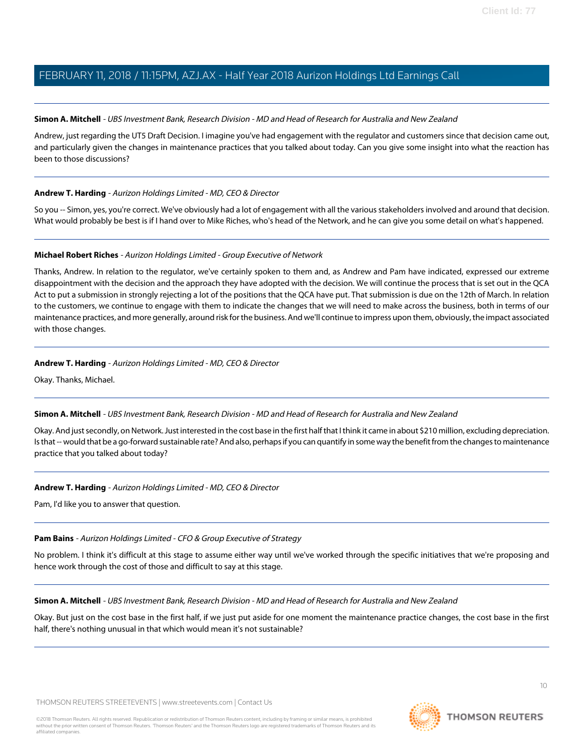### <span id="page-9-1"></span>**Simon A. Mitchell** - UBS Investment Bank, Research Division - MD and Head of Research for Australia and New Zealand

Andrew, just regarding the UT5 Draft Decision. I imagine you've had engagement with the regulator and customers since that decision came out, and particularly given the changes in maintenance practices that you talked about today. Can you give some insight into what the reaction has been to those discussions?

## **Andrew T. Harding** - Aurizon Holdings Limited - MD, CEO & Director

<span id="page-9-0"></span>So you -- Simon, yes, you're correct. We've obviously had a lot of engagement with all the various stakeholders involved and around that decision. What would probably be best is if I hand over to Mike Riches, who's head of the Network, and he can give you some detail on what's happened.

## **Michael Robert Riches** - Aurizon Holdings Limited - Group Executive of Network

Thanks, Andrew. In relation to the regulator, we've certainly spoken to them and, as Andrew and Pam have indicated, expressed our extreme disappointment with the decision and the approach they have adopted with the decision. We will continue the process that is set out in the QCA Act to put a submission in strongly rejecting a lot of the positions that the QCA have put. That submission is due on the 12th of March. In relation to the customers, we continue to engage with them to indicate the changes that we will need to make across the business, both in terms of our maintenance practices, and more generally, around risk for the business. And we'll continue to impress upon them, obviously, the impact associated with those changes.

## **Andrew T. Harding** - Aurizon Holdings Limited - MD, CEO & Director

Okay. Thanks, Michael.

#### **Simon A. Mitchell** - UBS Investment Bank, Research Division - MD and Head of Research for Australia and New Zealand

Okay. And just secondly, on Network. Just interested in the cost base in the first half that I think it came in about \$210 million, excluding depreciation. Is that -- would that be a go-forward sustainable rate? And also, perhaps if you can quantify in some way the benefit from the changes to maintenance practice that you talked about today?

# **Andrew T. Harding** - Aurizon Holdings Limited - MD, CEO & Director

Pam, I'd like you to answer that question.

# **Pam Bains** - Aurizon Holdings Limited - CFO & Group Executive of Strategy

No problem. I think it's difficult at this stage to assume either way until we've worked through the specific initiatives that we're proposing and hence work through the cost of those and difficult to say at this stage.

**Simon A. Mitchell** - UBS Investment Bank, Research Division - MD and Head of Research for Australia and New Zealand

Okay. But just on the cost base in the first half, if we just put aside for one moment the maintenance practice changes, the cost base in the first half, there's nothing unusual in that which would mean it's not sustainable?



 $1<sup>0</sup>$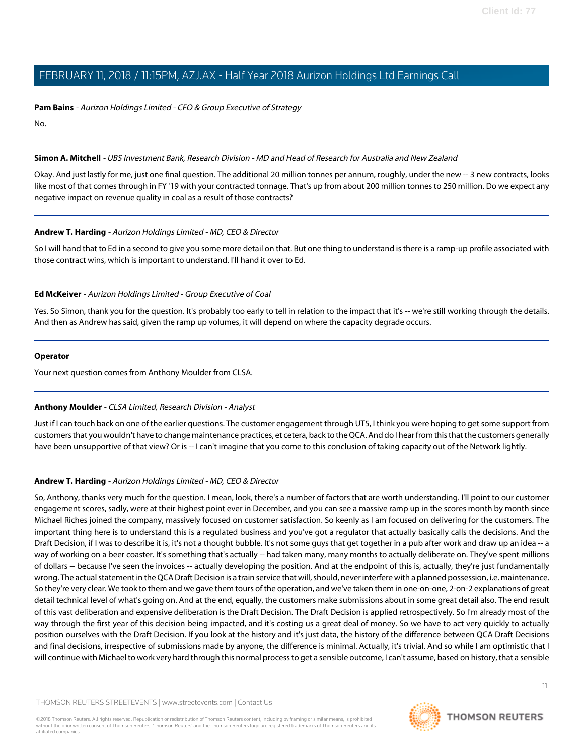**Pam Bains** - Aurizon Holdings Limited - CFO & Group Executive of Strategy

No.

## **Simon A. Mitchell** - UBS Investment Bank, Research Division - MD and Head of Research for Australia and New Zealand

Okay. And just lastly for me, just one final question. The additional 20 million tonnes per annum, roughly, under the new -- 3 new contracts, looks like most of that comes through in FY '19 with your contracted tonnage. That's up from about 200 million tonnes to 250 million. Do we expect any negative impact on revenue quality in coal as a result of those contracts?

## **Andrew T. Harding** - Aurizon Holdings Limited - MD, CEO & Director

<span id="page-10-0"></span>So I will hand that to Ed in a second to give you some more detail on that. But one thing to understand is there is a ramp-up profile associated with those contract wins, which is important to understand. I'll hand it over to Ed.

## **Ed McKeiver** - Aurizon Holdings Limited - Group Executive of Coal

Yes. So Simon, thank you for the question. It's probably too early to tell in relation to the impact that it's -- we're still working through the details. And then as Andrew has said, given the ramp up volumes, it will depend on where the capacity degrade occurs.

#### **Operator**

<span id="page-10-1"></span>Your next question comes from Anthony Moulder from CLSA.

# **Anthony Moulder** - CLSA Limited, Research Division - Analyst

Just if I can touch back on one of the earlier questions. The customer engagement through UT5, I think you were hoping to get some support from customers that you wouldn't have to change maintenance practices, et cetera, back to the QCA. And do I hear from this that the customers generally have been unsupportive of that view? Or is -- I can't imagine that you come to this conclusion of taking capacity out of the Network lightly.

# **Andrew T. Harding** - Aurizon Holdings Limited - MD, CEO & Director

So, Anthony, thanks very much for the question. I mean, look, there's a number of factors that are worth understanding. I'll point to our customer engagement scores, sadly, were at their highest point ever in December, and you can see a massive ramp up in the scores month by month since Michael Riches joined the company, massively focused on customer satisfaction. So keenly as I am focused on delivering for the customers. The important thing here is to understand this is a regulated business and you've got a regulator that actually basically calls the decisions. And the Draft Decision, if I was to describe it is, it's not a thought bubble. It's not some guys that get together in a pub after work and draw up an idea -- a way of working on a beer coaster. It's something that's actually -- had taken many, many months to actually deliberate on. They've spent millions of dollars -- because I've seen the invoices -- actually developing the position. And at the endpoint of this is, actually, they're just fundamentally wrong. The actual statement in the QCA Draft Decision is a train service that will, should, never interfere with a planned possession, i.e. maintenance. So they're very clear. We took to them and we gave them tours of the operation, and we've taken them in one-on-one, 2-on-2 explanations of great detail technical level of what's going on. And at the end, equally, the customers make submissions about in some great detail also. The end result of this vast deliberation and expensive deliberation is the Draft Decision. The Draft Decision is applied retrospectively. So I'm already most of the way through the first year of this decision being impacted, and it's costing us a great deal of money. So we have to act very quickly to actually position ourselves with the Draft Decision. If you look at the history and it's just data, the history of the difference between QCA Draft Decisions and final decisions, irrespective of submissions made by anyone, the difference is minimal. Actually, it's trivial. And so while I am optimistic that I will continue with Michael to work very hard through this normal process to get a sensible outcome, I can't assume, based on history, that a sensible

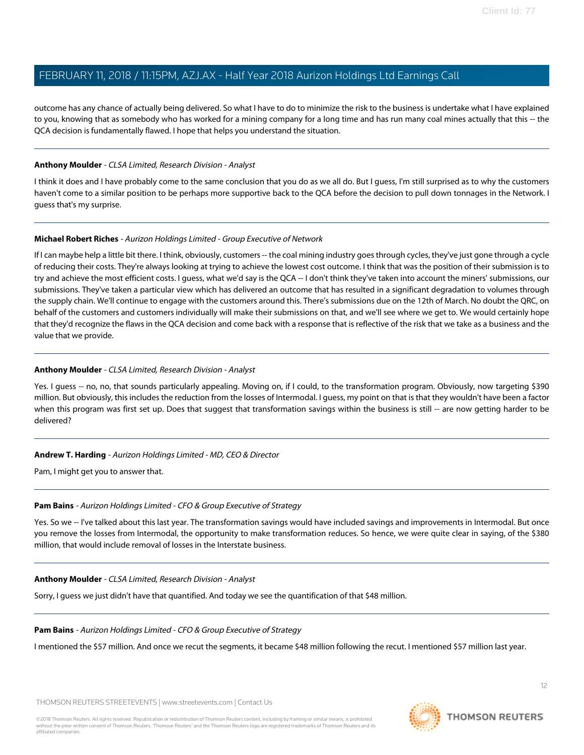outcome has any chance of actually being delivered. So what I have to do to minimize the risk to the business is undertake what I have explained to you, knowing that as somebody who has worked for a mining company for a long time and has run many coal mines actually that this -- the QCA decision is fundamentally flawed. I hope that helps you understand the situation.

### **Anthony Moulder** - CLSA Limited, Research Division - Analyst

I think it does and I have probably come to the same conclusion that you do as we all do. But I guess, I'm still surprised as to why the customers haven't come to a similar position to be perhaps more supportive back to the QCA before the decision to pull down tonnages in the Network. I guess that's my surprise.

## **Michael Robert Riches** - Aurizon Holdings Limited - Group Executive of Network

If I can maybe help a little bit there. I think, obviously, customers -- the coal mining industry goes through cycles, they've just gone through a cycle of reducing their costs. They're always looking at trying to achieve the lowest cost outcome. I think that was the position of their submission is to try and achieve the most efficient costs. I guess, what we'd say is the QCA -- I don't think they've taken into account the miners' submissions, our submissions. They've taken a particular view which has delivered an outcome that has resulted in a significant degradation to volumes through the supply chain. We'll continue to engage with the customers around this. There's submissions due on the 12th of March. No doubt the QRC, on behalf of the customers and customers individually will make their submissions on that, and we'll see where we get to. We would certainly hope that they'd recognize the flaws in the QCA decision and come back with a response that is reflective of the risk that we take as a business and the value that we provide.

## **Anthony Moulder** - CLSA Limited, Research Division - Analyst

Yes. I guess -- no, no, that sounds particularly appealing. Moving on, if I could, to the transformation program. Obviously, now targeting \$390 million. But obviously, this includes the reduction from the losses of Intermodal. I guess, my point on that is that they wouldn't have been a factor when this program was first set up. Does that suggest that transformation savings within the business is still -- are now getting harder to be delivered?

#### **Andrew T. Harding** - Aurizon Holdings Limited - MD, CEO & Director

Pam, I might get you to answer that.

#### **Pam Bains** - Aurizon Holdings Limited - CFO & Group Executive of Strategy

Yes. So we -- I've talked about this last year. The transformation savings would have included savings and improvements in Intermodal. But once you remove the losses from Intermodal, the opportunity to make transformation reduces. So hence, we were quite clear in saying, of the \$380 million, that would include removal of losses in the Interstate business.

#### **Anthony Moulder** - CLSA Limited, Research Division - Analyst

Sorry, I guess we just didn't have that quantified. And today we see the quantification of that \$48 million.

#### **Pam Bains** - Aurizon Holdings Limited - CFO & Group Executive of Strategy

I mentioned the \$57 million. And once we recut the segments, it became \$48 million following the recut. I mentioned \$57 million last year.

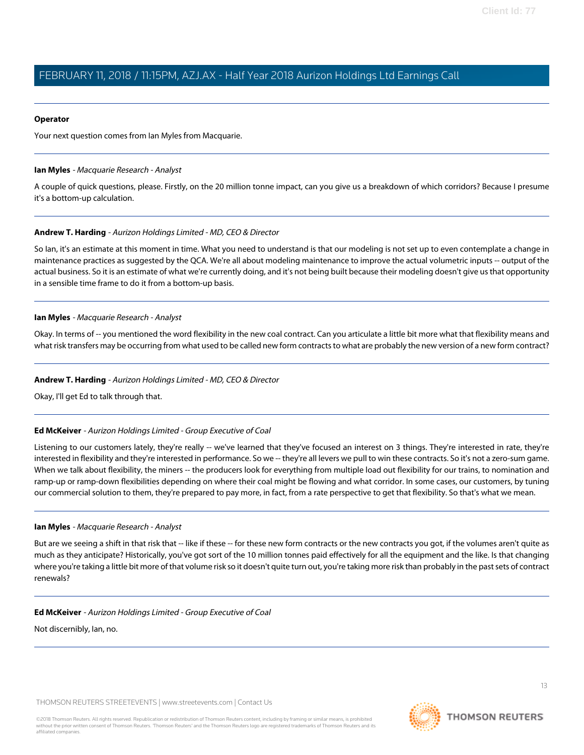#### **Operator**

<span id="page-12-0"></span>Your next question comes from Ian Myles from Macquarie.

#### **Ian Myles** - Macquarie Research - Analyst

A couple of quick questions, please. Firstly, on the 20 million tonne impact, can you give us a breakdown of which corridors? Because I presume it's a bottom-up calculation.

#### **Andrew T. Harding** - Aurizon Holdings Limited - MD, CEO & Director

So Ian, it's an estimate at this moment in time. What you need to understand is that our modeling is not set up to even contemplate a change in maintenance practices as suggested by the QCA. We're all about modeling maintenance to improve the actual volumetric inputs -- output of the actual business. So it is an estimate of what we're currently doing, and it's not being built because their modeling doesn't give us that opportunity in a sensible time frame to do it from a bottom-up basis.

#### **Ian Myles** - Macquarie Research - Analyst

Okay. In terms of -- you mentioned the word flexibility in the new coal contract. Can you articulate a little bit more what that flexibility means and what risk transfers may be occurring from what used to be called new form contracts to what are probably the new version of a new form contract?

#### **Andrew T. Harding** - Aurizon Holdings Limited - MD, CEO & Director

Okay, I'll get Ed to talk through that.

#### **Ed McKeiver** - Aurizon Holdings Limited - Group Executive of Coal

Listening to our customers lately, they're really -- we've learned that they've focused an interest on 3 things. They're interested in rate, they're interested in flexibility and they're interested in performance. So we -- they're all levers we pull to win these contracts. So it's not a zero-sum game. When we talk about flexibility, the miners -- the producers look for everything from multiple load out flexibility for our trains, to nomination and ramp-up or ramp-down flexibilities depending on where their coal might be flowing and what corridor. In some cases, our customers, by tuning our commercial solution to them, they're prepared to pay more, in fact, from a rate perspective to get that flexibility. So that's what we mean.

#### **Ian Myles** - Macquarie Research - Analyst

But are we seeing a shift in that risk that -- like if these -- for these new form contracts or the new contracts you got, if the volumes aren't quite as much as they anticipate? Historically, you've got sort of the 10 million tonnes paid effectively for all the equipment and the like. Is that changing where you're taking a little bit more of that volume risk so it doesn't quite turn out, you're taking more risk than probably in the past sets of contract renewals?

#### **Ed McKeiver** - Aurizon Holdings Limited - Group Executive of Coal

Not discernibly, Ian, no.

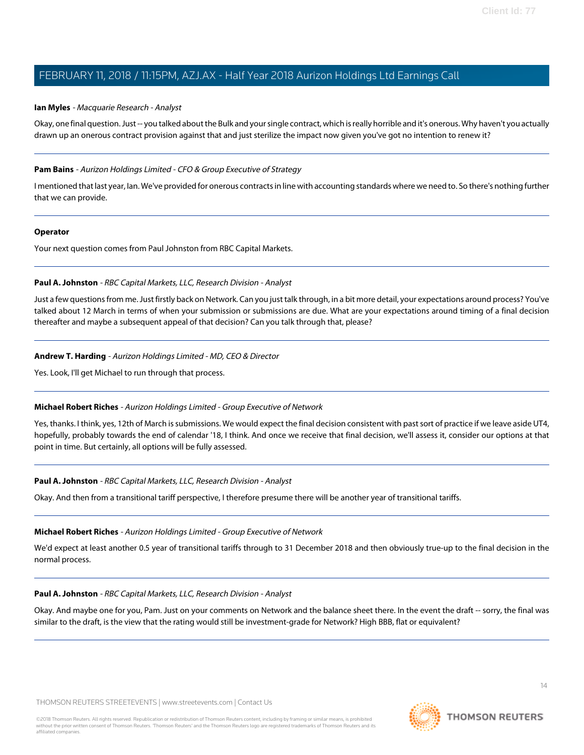#### **Ian Myles** - Macquarie Research - Analyst

Okay, one final question. Just -- you talked about the Bulk and your single contract, which is really horrible and it's onerous. Why haven't you actually drawn up an onerous contract provision against that and just sterilize the impact now given you've got no intention to renew it?

#### **Pam Bains** - Aurizon Holdings Limited - CFO & Group Executive of Strategy

I mentioned that last year, Ian. We've provided for onerous contracts in line with accounting standards where we need to. So there's nothing further that we can provide.

#### **Operator**

<span id="page-13-0"></span>Your next question comes from Paul Johnston from RBC Capital Markets.

#### **Paul A. Johnston** - RBC Capital Markets, LLC, Research Division - Analyst

Just a few questions from me. Just firstly back on Network. Can you just talk through, in a bit more detail, your expectations around process? You've talked about 12 March in terms of when your submission or submissions are due. What are your expectations around timing of a final decision thereafter and maybe a subsequent appeal of that decision? Can you talk through that, please?

#### **Andrew T. Harding** - Aurizon Holdings Limited - MD, CEO & Director

Yes. Look, I'll get Michael to run through that process.

#### **Michael Robert Riches** - Aurizon Holdings Limited - Group Executive of Network

Yes, thanks. I think, yes, 12th of March is submissions. We would expect the final decision consistent with past sort of practice if we leave aside UT4, hopefully, probably towards the end of calendar '18, I think. And once we receive that final decision, we'll assess it, consider our options at that point in time. But certainly, all options will be fully assessed.

#### **Paul A. Johnston** - RBC Capital Markets, LLC, Research Division - Analyst

Okay. And then from a transitional tariff perspective, I therefore presume there will be another year of transitional tariffs.

#### **Michael Robert Riches** - Aurizon Holdings Limited - Group Executive of Network

We'd expect at least another 0.5 year of transitional tariffs through to 31 December 2018 and then obviously true-up to the final decision in the normal process.

#### **Paul A. Johnston** - RBC Capital Markets, LLC, Research Division - Analyst

Okay. And maybe one for you, Pam. Just on your comments on Network and the balance sheet there. In the event the draft -- sorry, the final was similar to the draft, is the view that the rating would still be investment-grade for Network? High BBB, flat or equivalent?

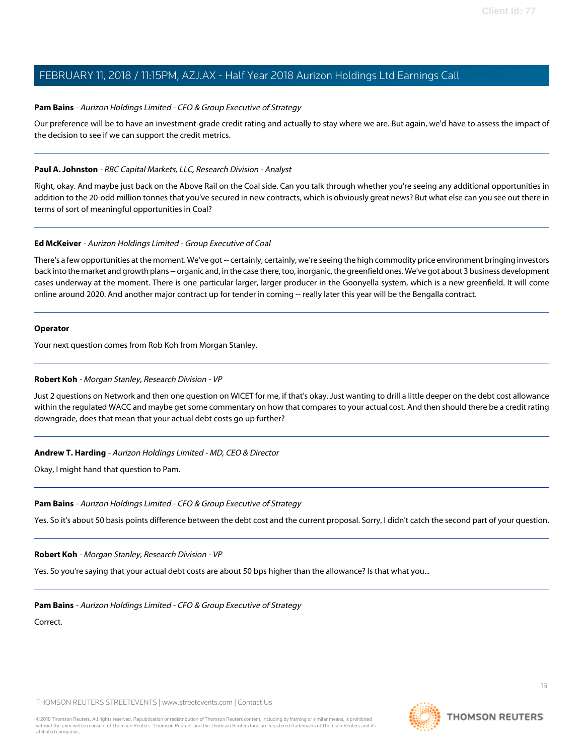### **Pam Bains** - Aurizon Holdings Limited - CFO & Group Executive of Strategy

Our preference will be to have an investment-grade credit rating and actually to stay where we are. But again, we'd have to assess the impact of the decision to see if we can support the credit metrics.

## **Paul A. Johnston** - RBC Capital Markets, LLC, Research Division - Analyst

Right, okay. And maybe just back on the Above Rail on the Coal side. Can you talk through whether you're seeing any additional opportunities in addition to the 20-odd million tonnes that you've secured in new contracts, which is obviously great news? But what else can you see out there in terms of sort of meaningful opportunities in Coal?

## **Ed McKeiver** - Aurizon Holdings Limited - Group Executive of Coal

There's a few opportunities at the moment. We've got -- certainly, certainly, we're seeing the high commodity price environment bringing investors back into the market and growth plans -- organic and, in the case there, too, inorganic, the greenfield ones. We've got about 3 business development cases underway at the moment. There is one particular larger, larger producer in the Goonyella system, which is a new greenfield. It will come online around 2020. And another major contract up for tender in coming -- really later this year will be the Bengalla contract.

#### **Operator**

<span id="page-14-0"></span>Your next question comes from Rob Koh from Morgan Stanley.

#### **Robert Koh** - Morgan Stanley, Research Division - VP

Just 2 questions on Network and then one question on WICET for me, if that's okay. Just wanting to drill a little deeper on the debt cost allowance within the regulated WACC and maybe get some commentary on how that compares to your actual cost. And then should there be a credit rating downgrade, does that mean that your actual debt costs go up further?

#### **Andrew T. Harding** - Aurizon Holdings Limited - MD, CEO & Director

Okay, I might hand that question to Pam.

#### **Pam Bains** - Aurizon Holdings Limited - CFO & Group Executive of Strategy

Yes. So it's about 50 basis points difference between the debt cost and the current proposal. Sorry, I didn't catch the second part of your question.

**Robert Koh** - Morgan Stanley, Research Division - VP

Yes. So you're saying that your actual debt costs are about 50 bps higher than the allowance? Is that what you...

#### **Pam Bains** - Aurizon Holdings Limited - CFO & Group Executive of Strategy

Correct.

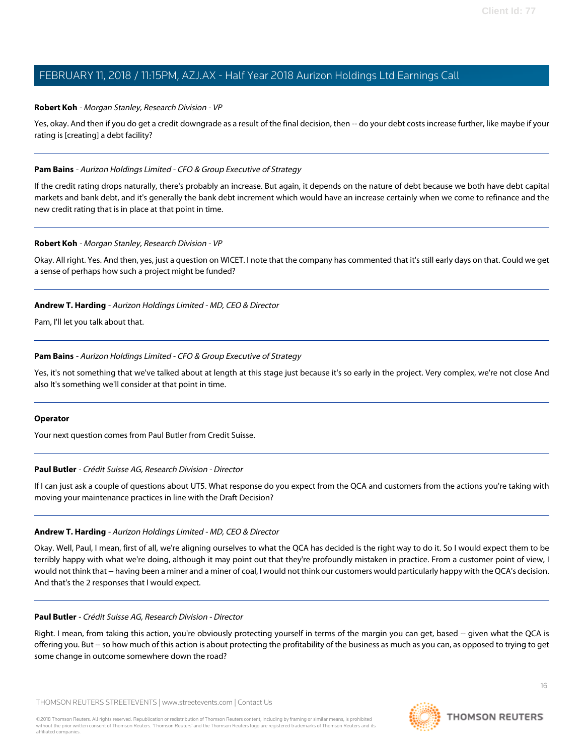#### **Robert Koh** - Morgan Stanley, Research Division - VP

Yes, okay. And then if you do get a credit downgrade as a result of the final decision, then -- do your debt costs increase further, like maybe if your rating is [creating] a debt facility?

#### **Pam Bains** - Aurizon Holdings Limited - CFO & Group Executive of Strategy

If the credit rating drops naturally, there's probably an increase. But again, it depends on the nature of debt because we both have debt capital markets and bank debt, and it's generally the bank debt increment which would have an increase certainly when we come to refinance and the new credit rating that is in place at that point in time.

#### **Robert Koh** - Morgan Stanley, Research Division - VP

Okay. All right. Yes. And then, yes, just a question on WICET. I note that the company has commented that it's still early days on that. Could we get a sense of perhaps how such a project might be funded?

#### **Andrew T. Harding** - Aurizon Holdings Limited - MD, CEO & Director

Pam, I'll let you talk about that.

#### **Pam Bains** - Aurizon Holdings Limited - CFO & Group Executive of Strategy

Yes, it's not something that we've talked about at length at this stage just because it's so early in the project. Very complex, we're not close And also It's something we'll consider at that point in time.

#### <span id="page-15-0"></span>**Operator**

Your next question comes from Paul Butler from Credit Suisse.

#### **Paul Butler** - Crédit Suisse AG, Research Division - Director

If I can just ask a couple of questions about UT5. What response do you expect from the QCA and customers from the actions you're taking with moving your maintenance practices in line with the Draft Decision?

#### **Andrew T. Harding** - Aurizon Holdings Limited - MD, CEO & Director

Okay. Well, Paul, I mean, first of all, we're aligning ourselves to what the QCA has decided is the right way to do it. So I would expect them to be terribly happy with what we're doing, although it may point out that they're profoundly mistaken in practice. From a customer point of view, I would not think that -- having been a miner and a miner of coal, I would not think our customers would particularly happy with the QCA's decision. And that's the 2 responses that I would expect.

#### **Paul Butler** - Crédit Suisse AG, Research Division - Director

Right. I mean, from taking this action, you're obviously protecting yourself in terms of the margin you can get, based -- given what the QCA is offering you. But -- so how much of this action is about protecting the profitability of the business as much as you can, as opposed to trying to get some change in outcome somewhere down the road?

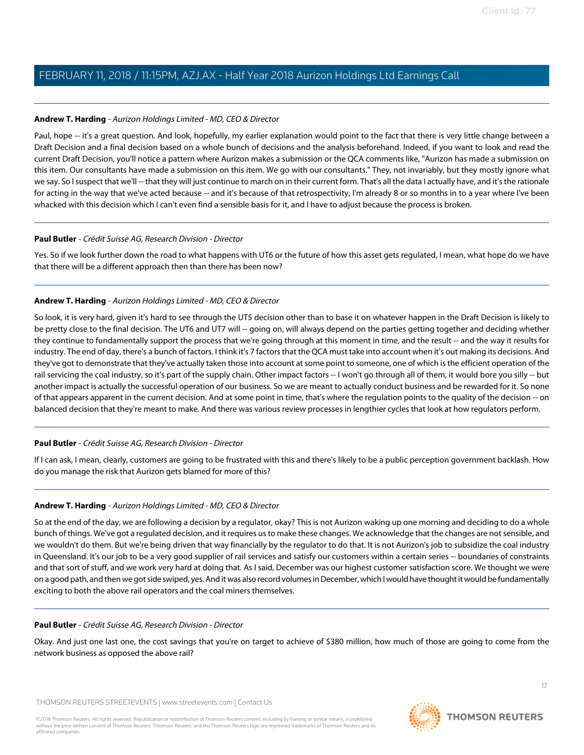## **Andrew T. Harding** - Aurizon Holdings Limited - MD, CEO & Director

Paul, hope -- it's a great question. And look, hopefully, my earlier explanation would point to the fact that there is very little change between a Draft Decision and a final decision based on a whole bunch of decisions and the analysis beforehand. Indeed, if you want to look and read the current Draft Decision, you'll notice a pattern where Aurizon makes a submission or the QCA comments like, "Aurizon has made a submission on this item. Our consultants have made a submission on this item. We go with our consultants." They, not invariably, but they mostly ignore what we say. So I suspect that we'll -- that they will just continue to march on in their current form. That's all the data I actually have, and it's the rationale for acting in the way that we've acted because -- and it's because of that retrospectivity, I'm already 8 or so months in to a year where I've been whacked with this decision which I can't even find a sensible basis for it, and I have to adjust because the process is broken.

## **Paul Butler** - Crédit Suisse AG, Research Division - Director

Yes. So if we look further down the road to what happens with UT6 or the future of how this asset gets regulated, I mean, what hope do we have that there will be a different approach then than there has been now?

## **Andrew T. Harding** - Aurizon Holdings Limited - MD, CEO & Director

So look, it is very hard, given it's hard to see through the UT5 decision other than to base it on whatever happen in the Draft Decision is likely to be pretty close to the final decision. The UT6 and UT7 will -- going on, will always depend on the parties getting together and deciding whether they continue to fundamentally support the process that we're going through at this moment in time, and the result -- and the way it results for industry. The end of day, there's a bunch of factors. I think it's 7 factors that the QCA must take into account when it's out making its decisions. And they've got to demonstrate that they've actually taken those into account at some point to someone, one of which is the efficient operation of the rail servicing the coal industry, so it's part of the supply chain. Other impact factors -- I won't go through all of them, it would bore you silly -- but another impact is actually the successful operation of our business. So we are meant to actually conduct business and be rewarded for it. So none of that appears apparent in the current decision. And at some point in time, that's where the regulation points to the quality of the decision -- on balanced decision that they're meant to make. And there was various review processes in lengthier cycles that look at how regulators perform.

# **Paul Butler** - Crédit Suisse AG, Research Division - Director

If I can ask, I mean, clearly, customers are going to be frustrated with this and there's likely to be a public perception government backlash. How do you manage the risk that Aurizon gets blamed for more of this?

#### **Andrew T. Harding** - Aurizon Holdings Limited - MD, CEO & Director

So at the end of the day, we are following a decision by a regulator, okay? This is not Aurizon waking up one morning and deciding to do a whole bunch of things. We've got a regulated decision, and it requires us to make these changes. We acknowledge that the changes are not sensible, and we wouldn't do them. But we're being driven that way financially by the regulator to do that. It is not Aurizon's job to subsidize the coal industry in Queensland. It's our job to be a very good supplier of rail services and satisfy our customers within a certain series -- boundaries of constraints and that sort of stuff, and we work very hard at doing that. As I said, December was our highest customer satisfaction score. We thought we were on a good path, and then we got side swiped, yes. And it was also record volumes in December, which I would have thought it would be fundamentally exciting to both the above rail operators and the coal miners themselves.

#### **Paul Butler** - Crédit Suisse AG, Research Division - Director

Okay. And just one last one, the cost savings that you're on target to achieve of \$380 million, how much of those are going to come from the network business as opposed the above rail?



17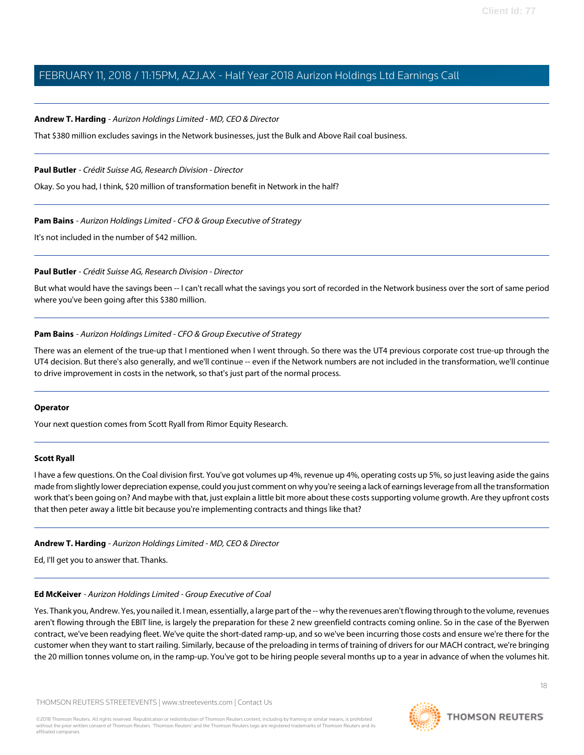#### **Andrew T. Harding** - Aurizon Holdings Limited - MD, CEO & Director

That \$380 million excludes savings in the Network businesses, just the Bulk and Above Rail coal business.

#### **Paul Butler** - Crédit Suisse AG, Research Division - Director

Okay. So you had, I think, \$20 million of transformation benefit in Network in the half?

#### **Pam Bains** - Aurizon Holdings Limited - CFO & Group Executive of Strategy

It's not included in the number of \$42 million.

#### **Paul Butler** - Crédit Suisse AG, Research Division - Director

But what would have the savings been -- I can't recall what the savings you sort of recorded in the Network business over the sort of same period where you've been going after this \$380 million.

#### **Pam Bains** - Aurizon Holdings Limited - CFO & Group Executive of Strategy

There was an element of the true-up that I mentioned when I went through. So there was the UT4 previous corporate cost true-up through the UT4 decision. But there's also generally, and we'll continue -- even if the Network numbers are not included in the transformation, we'll continue to drive improvement in costs in the network, so that's just part of the normal process.

#### <span id="page-17-0"></span>**Operator**

Your next question comes from Scott Ryall from Rimor Equity Research.

#### **Scott Ryall**

I have a few questions. On the Coal division first. You've got volumes up 4%, revenue up 4%, operating costs up 5%, so just leaving aside the gains made from slightly lower depreciation expense, could you just comment on why you're seeing a lack of earnings leverage from all the transformation work that's been going on? And maybe with that, just explain a little bit more about these costs supporting volume growth. Are they upfront costs that then peter away a little bit because you're implementing contracts and things like that?

#### **Andrew T. Harding** - Aurizon Holdings Limited - MD, CEO & Director

Ed, I'll get you to answer that. Thanks.

#### **Ed McKeiver** - Aurizon Holdings Limited - Group Executive of Coal

Yes. Thank you, Andrew. Yes, you nailed it. I mean, essentially, a large part of the -- why the revenues aren't flowing through to the volume, revenues aren't flowing through the EBIT line, is largely the preparation for these 2 new greenfield contracts coming online. So in the case of the Byerwen contract, we've been readying fleet. We've quite the short-dated ramp-up, and so we've been incurring those costs and ensure we're there for the customer when they want to start railing. Similarly, because of the preloading in terms of training of drivers for our MACH contract, we're bringing the 20 million tonnes volume on, in the ramp-up. You've got to be hiring people several months up to a year in advance of when the volumes hit.

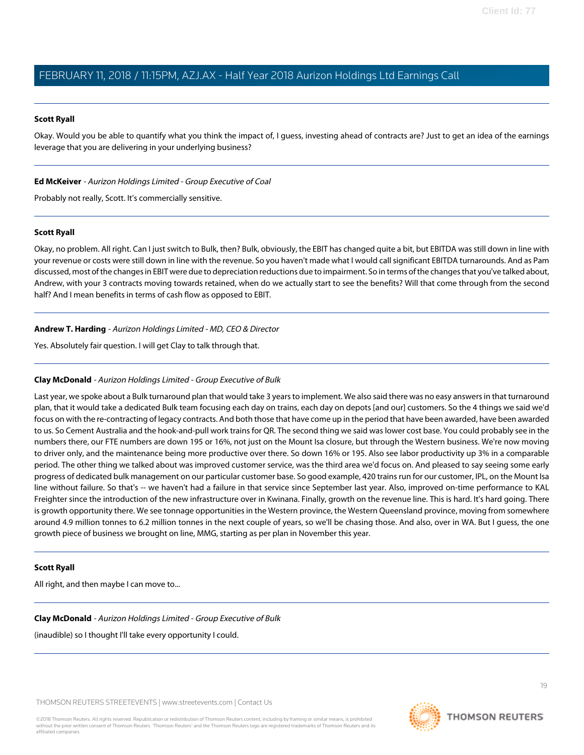### **Scott Ryall**

Okay. Would you be able to quantify what you think the impact of, I guess, investing ahead of contracts are? Just to get an idea of the earnings leverage that you are delivering in your underlying business?

### **Ed McKeiver** - Aurizon Holdings Limited - Group Executive of Coal

Probably not really, Scott. It's commercially sensitive.

#### **Scott Ryall**

Okay, no problem. All right. Can I just switch to Bulk, then? Bulk, obviously, the EBIT has changed quite a bit, but EBITDA was still down in line with your revenue or costs were still down in line with the revenue. So you haven't made what I would call significant EBITDA turnarounds. And as Pam discussed, most of the changes in EBIT were due to depreciation reductions due to impairment. So in terms of the changes that you've talked about, Andrew, with your 3 contracts moving towards retained, when do we actually start to see the benefits? Will that come through from the second half? And I mean benefits in terms of cash flow as opposed to EBIT.

# **Andrew T. Harding** - Aurizon Holdings Limited - MD, CEO & Director

<span id="page-18-0"></span>Yes. Absolutely fair question. I will get Clay to talk through that.

## **Clay McDonald** - Aurizon Holdings Limited - Group Executive of Bulk

Last year, we spoke about a Bulk turnaround plan that would take 3 years to implement. We also said there was no easy answers in that turnaround plan, that it would take a dedicated Bulk team focusing each day on trains, each day on depots [and our] customers. So the 4 things we said we'd focus on with the re-contracting of legacy contracts. And both those that have come up in the period that have been awarded, have been awarded to us. So Cement Australia and the hook-and-pull work trains for QR. The second thing we said was lower cost base. You could probably see in the numbers there, our FTE numbers are down 195 or 16%, not just on the Mount Isa closure, but through the Western business. We're now moving to driver only, and the maintenance being more productive over there. So down 16% or 195. Also see labor productivity up 3% in a comparable period. The other thing we talked about was improved customer service, was the third area we'd focus on. And pleased to say seeing some early progress of dedicated bulk management on our particular customer base. So good example, 420 trains run for our customer, IPL, on the Mount Isa line without failure. So that's -- we haven't had a failure in that service since September last year. Also, improved on-time performance to KAL Freighter since the introduction of the new infrastructure over in Kwinana. Finally, growth on the revenue line. This is hard. It's hard going. There is growth opportunity there. We see tonnage opportunities in the Western province, the Western Queensland province, moving from somewhere around 4.9 million tonnes to 6.2 million tonnes in the next couple of years, so we'll be chasing those. And also, over in WA. But I guess, the one growth piece of business we brought on line, MMG, starting as per plan in November this year.

#### **Scott Ryall**

All right, and then maybe I can move to...

#### **Clay McDonald** - Aurizon Holdings Limited - Group Executive of Bulk

(inaudible) so I thought I'll take every opportunity I could.

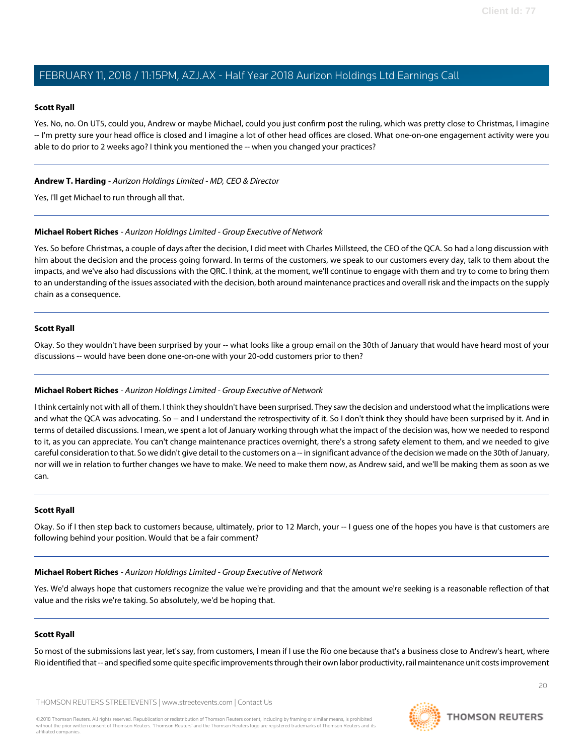#### **Scott Ryall**

Yes. No, no. On UT5, could you, Andrew or maybe Michael, could you just confirm post the ruling, which was pretty close to Christmas, I imagine -- I'm pretty sure your head office is closed and I imagine a lot of other head offices are closed. What one-on-one engagement activity were you able to do prior to 2 weeks ago? I think you mentioned the -- when you changed your practices?

### **Andrew T. Harding** - Aurizon Holdings Limited - MD, CEO & Director

Yes, I'll get Michael to run through all that.

#### **Michael Robert Riches** - Aurizon Holdings Limited - Group Executive of Network

Yes. So before Christmas, a couple of days after the decision, I did meet with Charles Millsteed, the CEO of the QCA. So had a long discussion with him about the decision and the process going forward. In terms of the customers, we speak to our customers every day, talk to them about the impacts, and we've also had discussions with the QRC. I think, at the moment, we'll continue to engage with them and try to come to bring them to an understanding of the issues associated with the decision, both around maintenance practices and overall risk and the impacts on the supply chain as a consequence.

#### **Scott Ryall**

Okay. So they wouldn't have been surprised by your -- what looks like a group email on the 30th of January that would have heard most of your discussions -- would have been done one-on-one with your 20-odd customers prior to then?

#### **Michael Robert Riches** - Aurizon Holdings Limited - Group Executive of Network

I think certainly not with all of them. I think they shouldn't have been surprised. They saw the decision and understood what the implications were and what the QCA was advocating. So -- and I understand the retrospectivity of it. So I don't think they should have been surprised by it. And in terms of detailed discussions. I mean, we spent a lot of January working through what the impact of the decision was, how we needed to respond to it, as you can appreciate. You can't change maintenance practices overnight, there's a strong safety element to them, and we needed to give careful consideration to that. So we didn't give detail to the customers on a -- in significant advance of the decision we made on the 30th of January, nor will we in relation to further changes we have to make. We need to make them now, as Andrew said, and we'll be making them as soon as we can.

#### **Scott Ryall**

Okay. So if I then step back to customers because, ultimately, prior to 12 March, your -- I guess one of the hopes you have is that customers are following behind your position. Would that be a fair comment?

#### **Michael Robert Riches** - Aurizon Holdings Limited - Group Executive of Network

Yes. We'd always hope that customers recognize the value we're providing and that the amount we're seeking is a reasonable reflection of that value and the risks we're taking. So absolutely, we'd be hoping that.

#### **Scott Ryall**

So most of the submissions last year, let's say, from customers, I mean if I use the Rio one because that's a business close to Andrew's heart, where Rio identified that -- and specified some quite specific improvements through their own labor productivity, rail maintenance unit costs improvement

THOMSON REUTERS STREETEVENTS | [www.streetevents.com](http://www.streetevents.com) | [Contact Us](http://www010.streetevents.com/contact.asp)

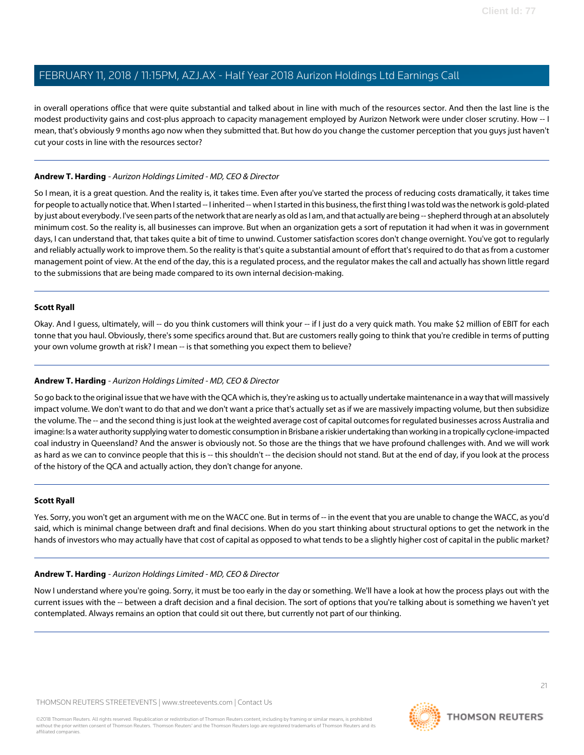in overall operations office that were quite substantial and talked about in line with much of the resources sector. And then the last line is the modest productivity gains and cost-plus approach to capacity management employed by Aurizon Network were under closer scrutiny. How -- I mean, that's obviously 9 months ago now when they submitted that. But how do you change the customer perception that you guys just haven't cut your costs in line with the resources sector?

#### **Andrew T. Harding** - Aurizon Holdings Limited - MD, CEO & Director

So I mean, it is a great question. And the reality is, it takes time. Even after you've started the process of reducing costs dramatically, it takes time for people to actually notice that. When I started -- I inherited -- when I started in this business, the first thing I was told was the network is gold-plated by just about everybody. I've seen parts of the network that are nearly as old as I am, and that actually are being -- shepherd through at an absolutely minimum cost. So the reality is, all businesses can improve. But when an organization gets a sort of reputation it had when it was in government days, I can understand that, that takes quite a bit of time to unwind. Customer satisfaction scores don't change overnight. You've got to regularly and reliably actually work to improve them. So the reality is that's quite a substantial amount of effort that's required to do that as from a customer management point of view. At the end of the day, this is a regulated process, and the regulator makes the call and actually has shown little regard to the submissions that are being made compared to its own internal decision-making.

#### **Scott Ryall**

Okay. And I guess, ultimately, will -- do you think customers will think your -- if I just do a very quick math. You make \$2 million of EBIT for each tonne that you haul. Obviously, there's some specifics around that. But are customers really going to think that you're credible in terms of putting your own volume growth at risk? I mean -- is that something you expect them to believe?

## **Andrew T. Harding** - Aurizon Holdings Limited - MD, CEO & Director

So go back to the original issue that we have with the QCA which is, they're asking us to actually undertake maintenance in a way that will massively impact volume. We don't want to do that and we don't want a price that's actually set as if we are massively impacting volume, but then subsidize the volume. The -- and the second thing is just look at the weighted average cost of capital outcomes for regulated businesses across Australia and imagine: Is a water authority supplying water to domestic consumption in Brisbane a riskier undertaking than working in a tropically cyclone-impacted coal industry in Queensland? And the answer is obviously not. So those are the things that we have profound challenges with. And we will work as hard as we can to convince people that this is -- this shouldn't -- the decision should not stand. But at the end of day, if you look at the process of the history of the QCA and actually action, they don't change for anyone.

#### **Scott Ryall**

Yes. Sorry, you won't get an argument with me on the WACC one. But in terms of -- in the event that you are unable to change the WACC, as you'd said, which is minimal change between draft and final decisions. When do you start thinking about structural options to get the network in the hands of investors who may actually have that cost of capital as opposed to what tends to be a slightly higher cost of capital in the public market?

#### **Andrew T. Harding** - Aurizon Holdings Limited - MD, CEO & Director

Now I understand where you're going. Sorry, it must be too early in the day or something. We'll have a look at how the process plays out with the current issues with the -- between a draft decision and a final decision. The sort of options that you're talking about is something we haven't yet contemplated. Always remains an option that could sit out there, but currently not part of our thinking.



**THOMSON REUTERS**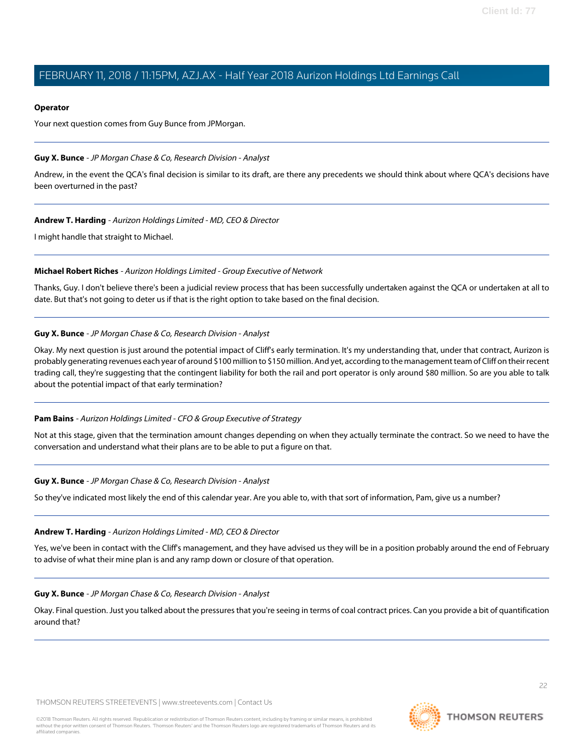#### **Operator**

Your next question comes from Guy Bunce from JPMorgan.

#### <span id="page-21-0"></span>**Guy X. Bunce** - JP Morgan Chase & Co, Research Division - Analyst

Andrew, in the event the QCA's final decision is similar to its draft, are there any precedents we should think about where QCA's decisions have been overturned in the past?

#### **Andrew T. Harding** - Aurizon Holdings Limited - MD, CEO & Director

I might handle that straight to Michael.

#### **Michael Robert Riches** - Aurizon Holdings Limited - Group Executive of Network

Thanks, Guy. I don't believe there's been a judicial review process that has been successfully undertaken against the QCA or undertaken at all to date. But that's not going to deter us if that is the right option to take based on the final decision.

#### **Guy X. Bunce** - JP Morgan Chase & Co, Research Division - Analyst

Okay. My next question is just around the potential impact of Cliff's early termination. It's my understanding that, under that contract, Aurizon is probably generating revenues each year of around \$100 million to \$150 million. And yet, according to the management team of Cliff on their recent trading call, they're suggesting that the contingent liability for both the rail and port operator is only around \$80 million. So are you able to talk about the potential impact of that early termination?

#### **Pam Bains** - Aurizon Holdings Limited - CFO & Group Executive of Strategy

Not at this stage, given that the termination amount changes depending on when they actually terminate the contract. So we need to have the conversation and understand what their plans are to be able to put a figure on that.

#### **Guy X. Bunce** - JP Morgan Chase & Co, Research Division - Analyst

So they've indicated most likely the end of this calendar year. Are you able to, with that sort of information, Pam, give us a number?

#### **Andrew T. Harding** - Aurizon Holdings Limited - MD, CEO & Director

Yes, we've been in contact with the Cliff's management, and they have advised us they will be in a position probably around the end of February to advise of what their mine plan is and any ramp down or closure of that operation.

#### **Guy X. Bunce** - JP Morgan Chase & Co, Research Division - Analyst

Okay. Final question. Just you talked about the pressures that you're seeing in terms of coal contract prices. Can you provide a bit of quantification around that?

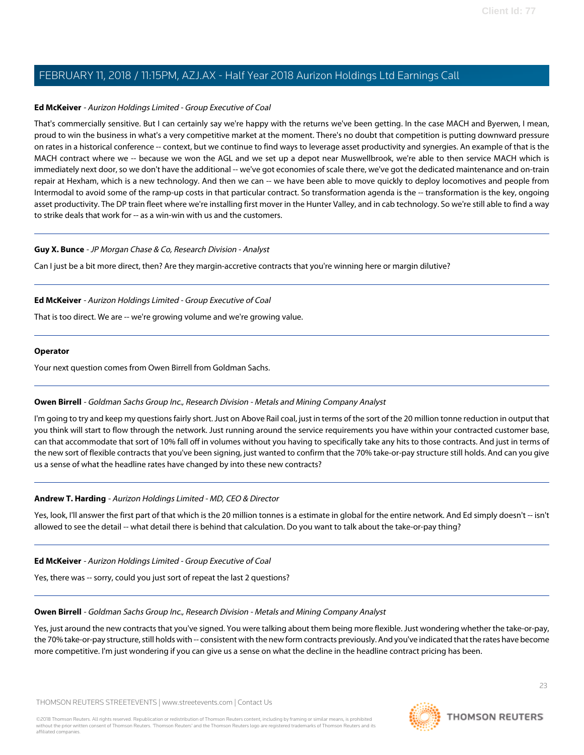### **Ed McKeiver** - Aurizon Holdings Limited - Group Executive of Coal

That's commercially sensitive. But I can certainly say we're happy with the returns we've been getting. In the case MACH and Byerwen, I mean, proud to win the business in what's a very competitive market at the moment. There's no doubt that competition is putting downward pressure on rates in a historical conference -- context, but we continue to find ways to leverage asset productivity and synergies. An example of that is the MACH contract where we -- because we won the AGL and we set up a depot near Muswellbrook, we're able to then service MACH which is immediately next door, so we don't have the additional -- we've got economies of scale there, we've got the dedicated maintenance and on-train repair at Hexham, which is a new technology. And then we can -- we have been able to move quickly to deploy locomotives and people from Intermodal to avoid some of the ramp-up costs in that particular contract. So transformation agenda is the -- transformation is the key, ongoing asset productivity. The DP train fleet where we're installing first mover in the Hunter Valley, and in cab technology. So we're still able to find a way to strike deals that work for -- as a win-win with us and the customers.

#### **Guy X. Bunce** - JP Morgan Chase & Co, Research Division - Analyst

Can I just be a bit more direct, then? Are they margin-accretive contracts that you're winning here or margin dilutive?

#### **Ed McKeiver** - Aurizon Holdings Limited - Group Executive of Coal

That is too direct. We are -- we're growing volume and we're growing value.

#### **Operator**

<span id="page-22-0"></span>Your next question comes from Owen Birrell from Goldman Sachs.

#### **Owen Birrell** - Goldman Sachs Group Inc., Research Division - Metals and Mining Company Analyst

I'm going to try and keep my questions fairly short. Just on Above Rail coal, just in terms of the sort of the 20 million tonne reduction in output that you think will start to flow through the network. Just running around the service requirements you have within your contracted customer base, can that accommodate that sort of 10% fall off in volumes without you having to specifically take any hits to those contracts. And just in terms of the new sort of flexible contracts that you've been signing, just wanted to confirm that the 70% take-or-pay structure still holds. And can you give us a sense of what the headline rates have changed by into these new contracts?

#### **Andrew T. Harding** - Aurizon Holdings Limited - MD, CEO & Director

Yes, look, I'll answer the first part of that which is the 20 million tonnes is a estimate in global for the entire network. And Ed simply doesn't -- isn't allowed to see the detail -- what detail there is behind that calculation. Do you want to talk about the take-or-pay thing?

#### **Ed McKeiver** - Aurizon Holdings Limited - Group Executive of Coal

Yes, there was -- sorry, could you just sort of repeat the last 2 questions?

#### **Owen Birrell** - Goldman Sachs Group Inc., Research Division - Metals and Mining Company Analyst

Yes, just around the new contracts that you've signed. You were talking about them being more flexible. Just wondering whether the take-or-pay, the 70% take-or-pay structure, still holds with -- consistent with the new form contracts previously. And you've indicated that the rates have become more competitive. I'm just wondering if you can give us a sense on what the decline in the headline contract pricing has been.

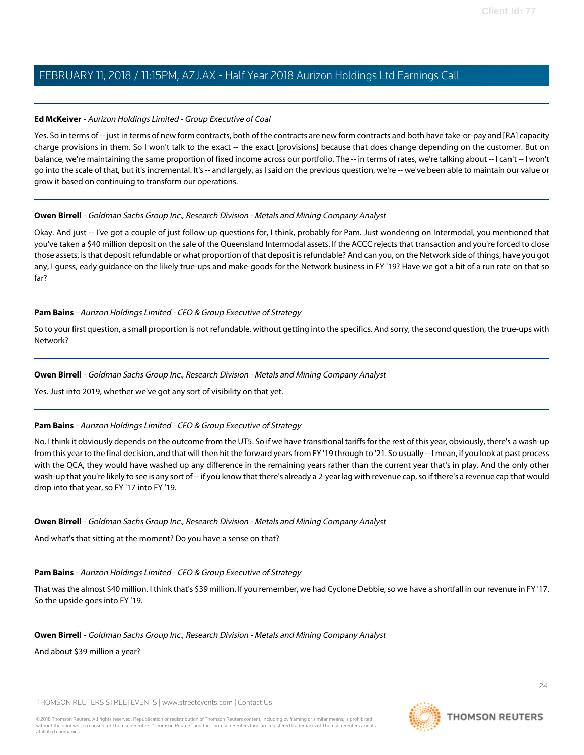## **Ed McKeiver** - Aurizon Holdings Limited - Group Executive of Coal

Yes. So in terms of -- just in terms of new form contracts, both of the contracts are new form contracts and both have take-or-pay and [RA] capacity charge provisions in them. So I won't talk to the exact -- the exact [provisions] because that does change depending on the customer. But on balance, we're maintaining the same proportion of fixed income across our portfolio. The -- in terms of rates, we're talking about -- I can't -- I won't go into the scale of that, but it's incremental. It's -- and largely, as I said on the previous question, we're -- we've been able to maintain our value or grow it based on continuing to transform our operations.

## **Owen Birrell** - Goldman Sachs Group Inc., Research Division - Metals and Mining Company Analyst

Okay. And just -- I've got a couple of just follow-up questions for, I think, probably for Pam. Just wondering on Intermodal, you mentioned that you've taken a \$40 million deposit on the sale of the Queensland Intermodal assets. If the ACCC rejects that transaction and you're forced to close those assets, is that deposit refundable or what proportion of that deposit is refundable? And can you, on the Network side of things, have you got any, I guess, early guidance on the likely true-ups and make-goods for the Network business in FY '19? Have we got a bit of a run rate on that so far?

# **Pam Bains** - Aurizon Holdings Limited - CFO & Group Executive of Strategy

So to your first question, a small proportion is not refundable, without getting into the specifics. And sorry, the second question, the true-ups with Network?

## **Owen Birrell** - Goldman Sachs Group Inc., Research Division - Metals and Mining Company Analyst

Yes. Just into 2019, whether we've got any sort of visibility on that yet.

#### **Pam Bains** - Aurizon Holdings Limited - CFO & Group Executive of Strategy

No. I think it obviously depends on the outcome from the UT5. So if we have transitional tariffs for the rest of this year, obviously, there's a wash-up from this year to the final decision, and that will then hit the forward years from FY '19 through to '21. So usually -- I mean, if you look at past process with the QCA, they would have washed up any difference in the remaining years rather than the current year that's in play. And the only other wash-up that you're likely to see is any sort of -- if you know that there's already a 2-year lag with revenue cap, so if there's a revenue cap that would drop into that year, so FY '17 into FY '19.

# **Owen Birrell** - Goldman Sachs Group Inc., Research Division - Metals and Mining Company Analyst

And what's that sitting at the moment? Do you have a sense on that?

# **Pam Bains** - Aurizon Holdings Limited - CFO & Group Executive of Strategy

That was the almost \$40 million. I think that's \$39 million. If you remember, we had Cyclone Debbie, so we have a shortfall in our revenue in FY '17. So the upside goes into FY '19.

# **Owen Birrell** - Goldman Sachs Group Inc., Research Division - Metals and Mining Company Analyst

And about \$39 million a year?

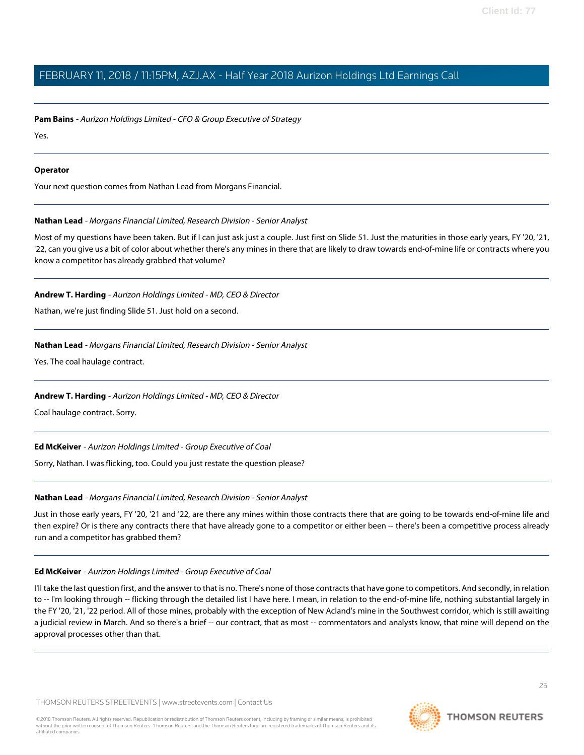**Pam Bains** - Aurizon Holdings Limited - CFO & Group Executive of Strategy

Yes.

### **Operator**

<span id="page-24-0"></span>Your next question comes from Nathan Lead from Morgans Financial.

## **Nathan Lead** - Morgans Financial Limited, Research Division - Senior Analyst

Most of my questions have been taken. But if I can just ask just a couple. Just first on Slide 51. Just the maturities in those early years, FY '20, '21, '22, can you give us a bit of color about whether there's any mines in there that are likely to draw towards end-of-mine life or contracts where you know a competitor has already grabbed that volume?

# **Andrew T. Harding** - Aurizon Holdings Limited - MD, CEO & Director

Nathan, we're just finding Slide 51. Just hold on a second.

## **Nathan Lead** - Morgans Financial Limited, Research Division - Senior Analyst

Yes. The coal haulage contract.

# **Andrew T. Harding** - Aurizon Holdings Limited - MD, CEO & Director

Coal haulage contract. Sorry.

#### **Ed McKeiver** - Aurizon Holdings Limited - Group Executive of Coal

Sorry, Nathan. I was flicking, too. Could you just restate the question please?

# **Nathan Lead** - Morgans Financial Limited, Research Division - Senior Analyst

Just in those early years, FY '20, '21 and '22, are there any mines within those contracts there that are going to be towards end-of-mine life and then expire? Or is there any contracts there that have already gone to a competitor or either been -- there's been a competitive process already run and a competitor has grabbed them?

#### **Ed McKeiver** - Aurizon Holdings Limited - Group Executive of Coal

I'll take the last question first, and the answer to that is no. There's none of those contracts that have gone to competitors. And secondly, in relation to -- I'm looking through -- flicking through the detailed list I have here. I mean, in relation to the end-of-mine life, nothing substantial largely in the FY '20, '21, '22 period. All of those mines, probably with the exception of New Acland's mine in the Southwest corridor, which is still awaiting a judicial review in March. And so there's a brief -- our contract, that as most -- commentators and analysts know, that mine will depend on the approval processes other than that.

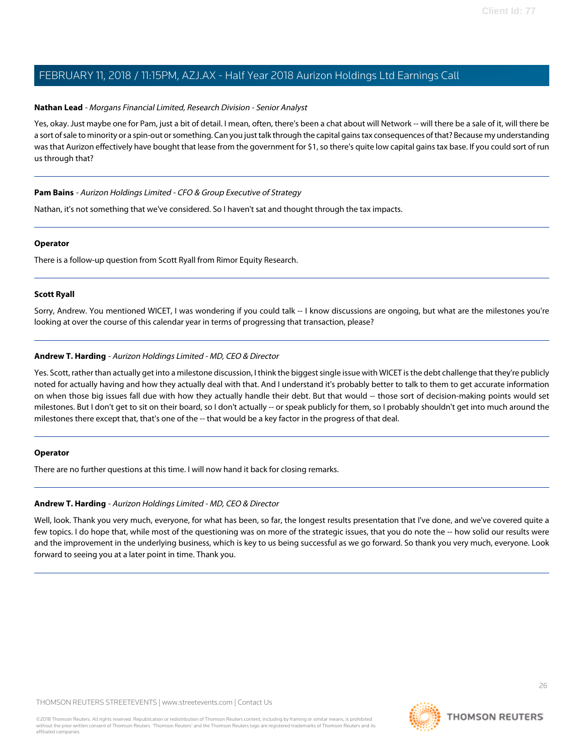### **Nathan Lead** - Morgans Financial Limited, Research Division - Senior Analyst

Yes, okay. Just maybe one for Pam, just a bit of detail. I mean, often, there's been a chat about will Network -- will there be a sale of it, will there be a sort of sale to minority or a spin-out or something. Can you just talk through the capital gains tax consequences of that? Because my understanding was that Aurizon effectively have bought that lease from the government for \$1, so there's quite low capital gains tax base. If you could sort of run us through that?

## **Pam Bains** - Aurizon Holdings Limited - CFO & Group Executive of Strategy

Nathan, it's not something that we've considered. So I haven't sat and thought through the tax impacts.

#### **Operator**

There is a follow-up question from Scott Ryall from Rimor Equity Research.

## **Scott Ryall**

Sorry, Andrew. You mentioned WICET, I was wondering if you could talk -- I know discussions are ongoing, but what are the milestones you're looking at over the course of this calendar year in terms of progressing that transaction, please?

# **Andrew T. Harding** - Aurizon Holdings Limited - MD, CEO & Director

Yes. Scott, rather than actually get into a milestone discussion, I think the biggest single issue with WICET is the debt challenge that they're publicly noted for actually having and how they actually deal with that. And I understand it's probably better to talk to them to get accurate information on when those big issues fall due with how they actually handle their debt. But that would -- those sort of decision-making points would set milestones. But I don't get to sit on their board, so I don't actually -- or speak publicly for them, so I probably shouldn't get into much around the milestones there except that, that's one of the -- that would be a key factor in the progress of that deal.

#### **Operator**

There are no further questions at this time. I will now hand it back for closing remarks.

# **Andrew T. Harding** - Aurizon Holdings Limited - MD, CEO & Director

Well, look. Thank you very much, everyone, for what has been, so far, the longest results presentation that I've done, and we've covered quite a few topics. I do hope that, while most of the questioning was on more of the strategic issues, that you do note the -- how solid our results were and the improvement in the underlying business, which is key to us being successful as we go forward. So thank you very much, everyone. Look forward to seeing you at a later point in time. Thank you.